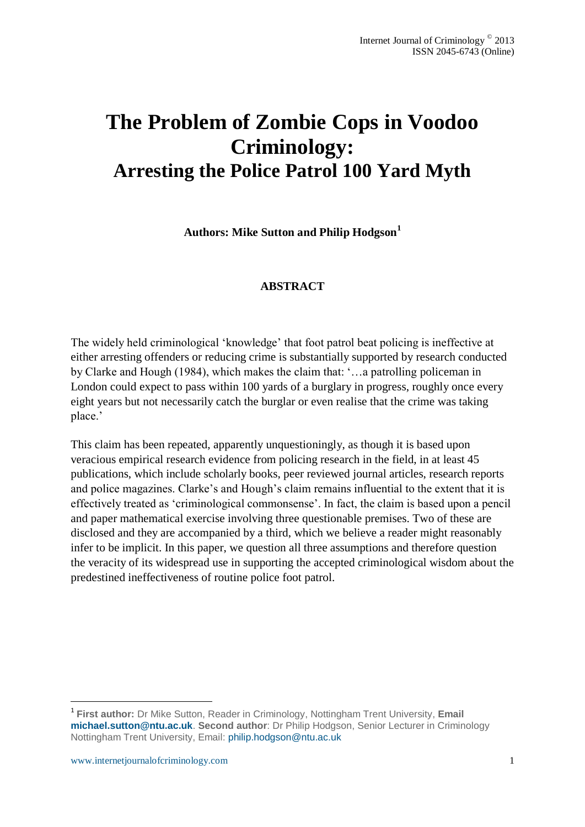# **The Problem of Zombie Cops in Voodoo Criminology: Arresting the Police Patrol 100 Yard Myth**

**Authors: Mike Sutton and Philip Hodgson<sup>1</sup>**

# **ABSTRACT**

The widely held criminological 'knowledge' that foot patrol beat policing is ineffective at either arresting offenders or reducing crime is substantially supported by research conducted by Clarke and Hough (1984), which makes the claim that: '…a patrolling policeman in London could expect to pass within 100 yards of a burglary in progress, roughly once every eight years but not necessarily catch the burglar or even realise that the crime was taking place.'

This claim has been repeated, apparently unquestioningly, as though it is based upon veracious empirical research evidence from policing research in the field, in at least 45 publications, which include scholarly books, peer reviewed journal articles, research reports and police magazines. Clarke's and Hough's claim remains influential to the extent that it is effectively treated as 'criminological commonsense'. In fact, the claim is based upon a pencil and paper mathematical exercise involving three questionable premises. Two of these are disclosed and they are accompanied by a third, which we believe a reader might reasonably infer to be implicit. In this paper, we question all three assumptions and therefore question the veracity of its widespread use in supporting the accepted criminological wisdom about the predestined ineffectiveness of routine police foot patrol.

1

<sup>1</sup> **First author:** Dr Mike Sutton, Reader in Criminology, Nottingham Trent University, **Email [michael.sutton@ntu.ac.uk](mailto:michael.sutton@ntu.ac.uk)**. **Second author**: Dr Philip Hodgson, Senior Lecturer in Criminology Nottingham Trent University, Email: [philip.hodgson@ntu.ac.uk](mailto:philip.hodgson@ntu.ac.uk)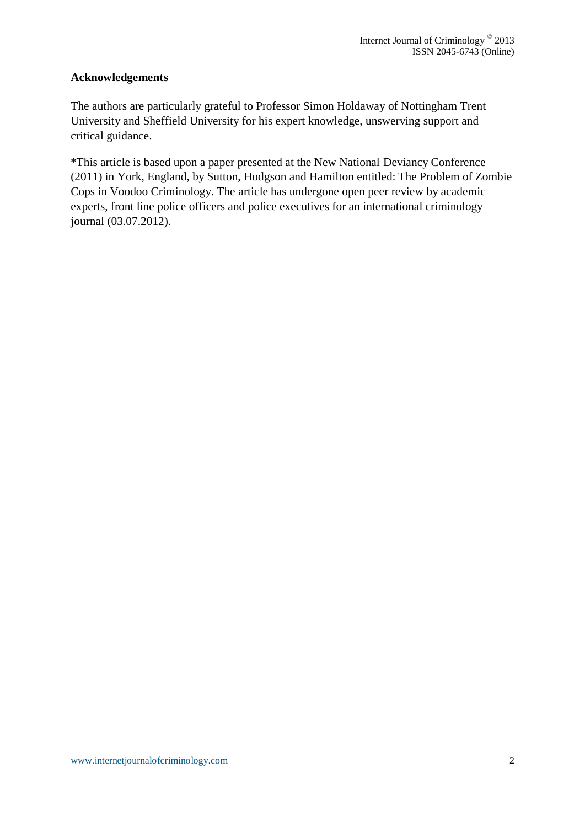# **Acknowledgements**

The authors are particularly grateful to Professor Simon Holdaway of Nottingham Trent University and Sheffield University for his expert knowledge, unswerving support and critical guidance.

\*This article is based upon a paper presented at the New National Deviancy Conference (2011) in York, England, by Sutton, Hodgson and Hamilton entitled: The Problem of Zombie Cops in Voodoo Criminology. The article has undergone open peer review by academic experts, front line police officers and police executives for an international criminology journal (03.07.2012).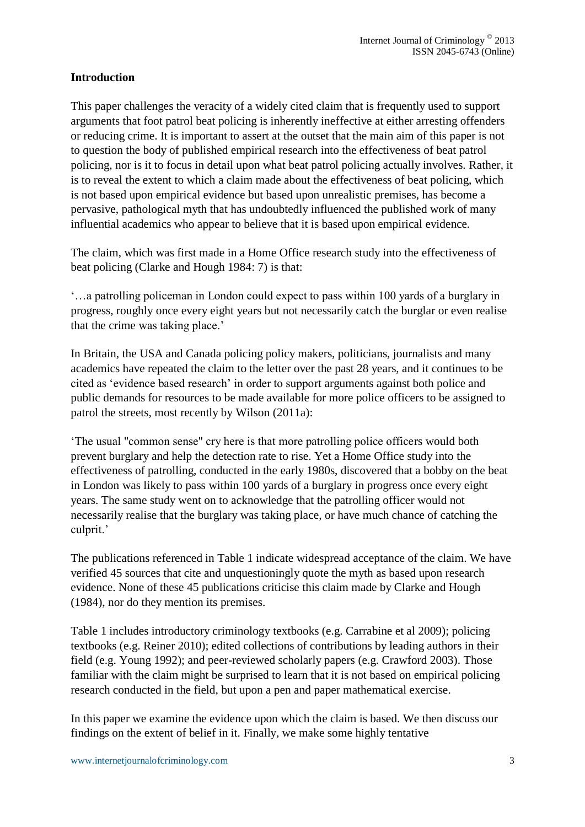# **Introduction**

This paper challenges the veracity of a widely cited claim that is frequently used to support arguments that foot patrol beat policing is inherently ineffective at either arresting offenders or reducing crime. It is important to assert at the outset that the main aim of this paper is not to question the body of published empirical research into the effectiveness of beat patrol policing, nor is it to focus in detail upon what beat patrol policing actually involves. Rather, it is to reveal the extent to which a claim made about the effectiveness of beat policing, which is not based upon empirical evidence but based upon unrealistic premises, has become a pervasive, pathological myth that has undoubtedly influenced the published work of many influential academics who appear to believe that it is based upon empirical evidence.

The claim, which was first made in a Home Office research study into the effectiveness of beat policing (Clarke and Hough 1984: 7) is that:

'…a patrolling policeman in London could expect to pass within 100 yards of a burglary in progress, roughly once every eight years but not necessarily catch the burglar or even realise that the crime was taking place.'

In Britain, the USA and Canada policing policy makers, politicians, journalists and many academics have repeated the claim to the letter over the past 28 years, and it continues to be cited as 'evidence based research' in order to support arguments against both police and public demands for resources to be made available for more police officers to be assigned to patrol the streets, most recently by Wilson (2011a):

'The usual "common sense" cry here is that more patrolling police officers would both prevent burglary and help the detection rate to rise. Yet a Home Office study into the effectiveness of patrolling, conducted in the early 1980s, discovered that a bobby on the beat in London was likely to pass within 100 yards of a burglary in progress once every eight years. The same study went on to acknowledge that the patrolling officer would not necessarily realise that the burglary was taking place, or have much chance of catching the culprit.'

The publications referenced in Table 1 indicate widespread acceptance of the claim. We have verified 45 sources that cite and unquestioningly quote the myth as based upon research evidence. None of these 45 publications criticise this claim made by Clarke and Hough (1984), nor do they mention its premises.

Table 1 includes introductory criminology textbooks (e.g. Carrabine et al 2009); policing textbooks (e.g. Reiner 2010); edited collections of contributions by leading authors in their field (e.g. Young 1992); and peer-reviewed scholarly papers (e.g. Crawford 2003). Those familiar with the claim might be surprised to learn that it is not based on empirical policing research conducted in the field, but upon a pen and paper mathematical exercise.

In this paper we examine the evidence upon which the claim is based. We then discuss our findings on the extent of belief in it. Finally, we make some highly tentative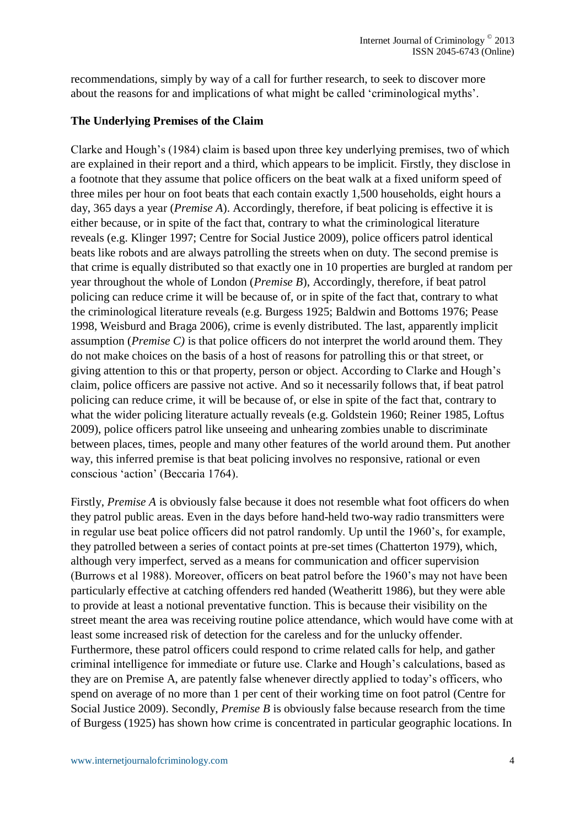recommendations, simply by way of a call for further research, to seek to discover more about the reasons for and implications of what might be called 'criminological myths'.

# **The Underlying Premises of the Claim**

Clarke and Hough's (1984) claim is based upon three key underlying premises, two of which are explained in their report and a third, which appears to be implicit. Firstly, they disclose in a footnote that they assume that police officers on the beat walk at a fixed uniform speed of three miles per hour on foot beats that each contain exactly 1,500 households, eight hours a day, 365 days a year (*Premise A*). Accordingly, therefore, if beat policing is effective it is either because, or in spite of the fact that, contrary to what the criminological literature reveals (e.g. Klinger 1997; Centre for Social Justice 2009), police officers patrol identical beats like robots and are always patrolling the streets when on duty. The second premise is that crime is equally distributed so that exactly one in 10 properties are burgled at random per year throughout the whole of London (*Premise B*), Accordingly, therefore, if beat patrol policing can reduce crime it will be because of, or in spite of the fact that, contrary to what the criminological literature reveals (e.g. Burgess 1925; Baldwin and Bottoms 1976; Pease 1998, Weisburd and Braga 2006), crime is evenly distributed. The last, apparently implicit assumption (*Premise C)* is that police officers do not interpret the world around them. They do not make choices on the basis of a host of reasons for patrolling this or that street, or giving attention to this or that property, person or object. According to Clarke and Hough's claim, police officers are passive not active. And so it necessarily follows that, if beat patrol policing can reduce crime, it will be because of, or else in spite of the fact that, contrary to what the wider policing literature actually reveals (e.g. Goldstein 1960; Reiner 1985, Loftus 2009), police officers patrol like unseeing and unhearing zombies unable to discriminate between places, times, people and many other features of the world around them. Put another way, this inferred premise is that beat policing involves no responsive, rational or even conscious 'action' (Beccaria 1764).

Firstly, *Premise A* is obviously false because it does not resemble what foot officers do when they patrol public areas. Even in the days before hand-held two-way radio transmitters were in regular use beat police officers did not patrol randomly. Up until the 1960's, for example, they patrolled between a series of contact points at pre-set times (Chatterton 1979), which, although very imperfect, served as a means for communication and officer supervision (Burrows et al 1988). Moreover, officers on beat patrol before the 1960's may not have been particularly effective at catching offenders red handed (Weatheritt 1986), but they were able to provide at least a notional preventative function. This is because their visibility on the street meant the area was receiving routine police attendance, which would have come with at least some increased risk of detection for the careless and for the unlucky offender. Furthermore, these patrol officers could respond to crime related calls for help, and gather criminal intelligence for immediate or future use. Clarke and Hough's calculations, based as they are on Premise A, are patently false whenever directly applied to today's officers, who spend on average of no more than 1 per cent of their working time on foot patrol (Centre for Social Justice 2009). Secondly, *Premise B* is obviously false because research from the time of Burgess (1925) has shown how crime is concentrated in particular geographic locations. In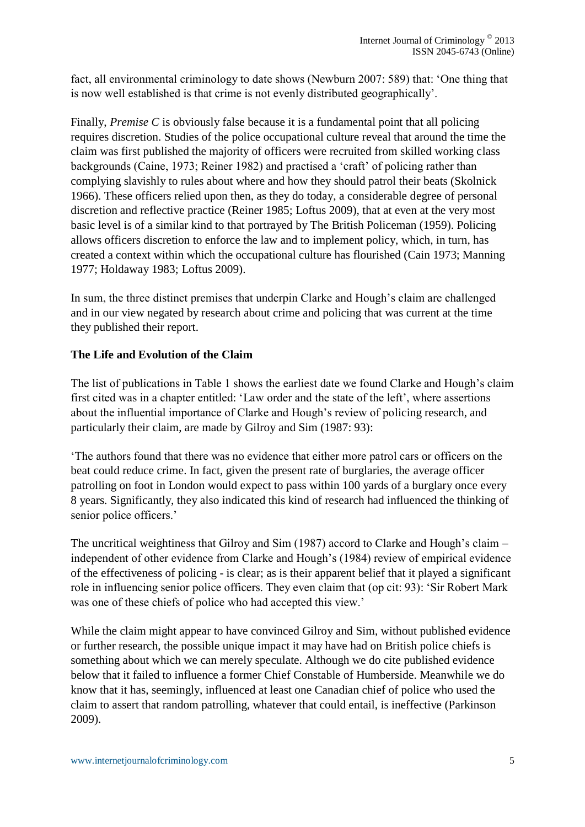fact, all environmental criminology to date shows (Newburn 2007: 589) that: 'One thing that is now well established is that crime is not evenly distributed geographically'.

Finally, *Premise C* is obviously false because it is a fundamental point that all policing requires discretion. Studies of the police occupational culture reveal that around the time the claim was first published the majority of officers were recruited from skilled working class backgrounds (Caine, 1973; Reiner 1982) and practised a 'craft' of policing rather than complying slavishly to rules about where and how they should patrol their beats (Skolnick 1966). These officers relied upon then, as they do today, a considerable degree of personal discretion and reflective practice (Reiner 1985; Loftus 2009), that at even at the very most basic level is of a similar kind to that portrayed by The British Policeman (1959). Policing allows officers discretion to enforce the law and to implement policy, which, in turn, has created a context within which the occupational culture has flourished (Cain 1973; Manning 1977; Holdaway 1983; Loftus 2009).

In sum, the three distinct premises that underpin Clarke and Hough's claim are challenged and in our view negated by research about crime and policing that was current at the time they published their report.

# **The Life and Evolution of the Claim**

The list of publications in Table 1 shows the earliest date we found Clarke and Hough's claim first cited was in a chapter entitled: 'Law order and the state of the left', where assertions about the influential importance of Clarke and Hough's review of policing research, and particularly their claim, are made by Gilroy and Sim (1987: 93):

'The authors found that there was no evidence that either more patrol cars or officers on the beat could reduce crime. In fact, given the present rate of burglaries, the average officer patrolling on foot in London would expect to pass within 100 yards of a burglary once every 8 years. Significantly, they also indicated this kind of research had influenced the thinking of senior police officers.'

The uncritical weightiness that Gilroy and Sim (1987) accord to Clarke and Hough's claim – independent of other evidence from Clarke and Hough's (1984) review of empirical evidence of the effectiveness of policing - is clear; as is their apparent belief that it played a significant role in influencing senior police officers. They even claim that (op cit: 93): 'Sir Robert Mark was one of these chiefs of police who had accepted this view.'

While the claim might appear to have convinced Gilroy and Sim, without published evidence or further research, the possible unique impact it may have had on British police chiefs is something about which we can merely speculate. Although we do cite published evidence below that it failed to influence a former Chief Constable of Humberside. Meanwhile we do know that it has, seemingly, influenced at least one Canadian chief of police who used the claim to assert that random patrolling, whatever that could entail, is ineffective (Parkinson 2009).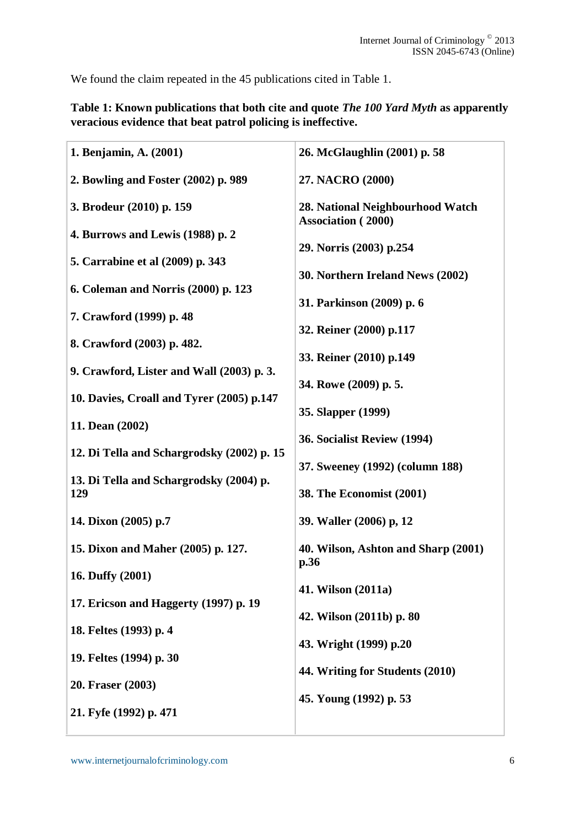We found the claim repeated in the 45 publications cited in Table 1.

| 1. Benjamin, A. (2001)                     | 26. McGlaughlin (2001) p. 58                                  |  |  |
|--------------------------------------------|---------------------------------------------------------------|--|--|
| 2. Bowling and Foster (2002) p. 989        | 27. NACRO (2000)                                              |  |  |
| 3. Brodeur (2010) p. 159                   | 28. National Neighbourhood Watch<br><b>Association</b> (2000) |  |  |
| 4. Burrows and Lewis (1988) p. 2           | 29. Norris (2003) p.254                                       |  |  |
| 5. Carrabine et al (2009) p. 343           |                                                               |  |  |
| 6. Coleman and Norris (2000) p. 123        | 30. Northern Ireland News (2002)                              |  |  |
| 7. Crawford (1999) p. 48                   | 31. Parkinson (2009) p. 6                                     |  |  |
| 8. Crawford (2003) p. 482.                 | 32. Reiner (2000) p.117                                       |  |  |
| 9. Crawford, Lister and Wall (2003) p. 3.  | 33. Reiner (2010) p.149                                       |  |  |
| 10. Davies, Croall and Tyrer (2005) p.147  | 34. Rowe (2009) p. 5.                                         |  |  |
| 11. Dean (2002)                            | 35. Slapper (1999)<br>36. Socialist Review (1994)             |  |  |
| 12. Di Tella and Schargrodsky (2002) p. 15 |                                                               |  |  |
| 13. Di Tella and Schargrodsky (2004) p.    | 37. Sweeney (1992) (column 188)                               |  |  |
| 129                                        | <b>38. The Economist (2001)</b>                               |  |  |
| 14. Dixon (2005) p.7                       | 39. Waller (2006) p, 12                                       |  |  |
| 15. Dixon and Maher (2005) p. 127.         | 40. Wilson, Ashton and Sharp (2001)<br>p.36                   |  |  |
| 16. Duffy (2001)                           | 41. Wilson (2011a)                                            |  |  |
| 17. Ericson and Haggerty (1997) p. 19      | 42. Wilson (2011b) p. 80                                      |  |  |
| 18. Feltes (1993) p. 4                     | 43. Wright (1999) p.20                                        |  |  |
| 19. Feltes (1994) p. 30                    | 44. Writing for Students (2010)                               |  |  |
| 20. Fraser (2003)                          | 45. Young (1992) p. 53                                        |  |  |
| 21. Fyfe (1992) p. 471                     |                                                               |  |  |

**Table 1: Known publications that both cite and quote** *The 100 Yard Myth* **as apparently veracious evidence that beat patrol policing is ineffective.**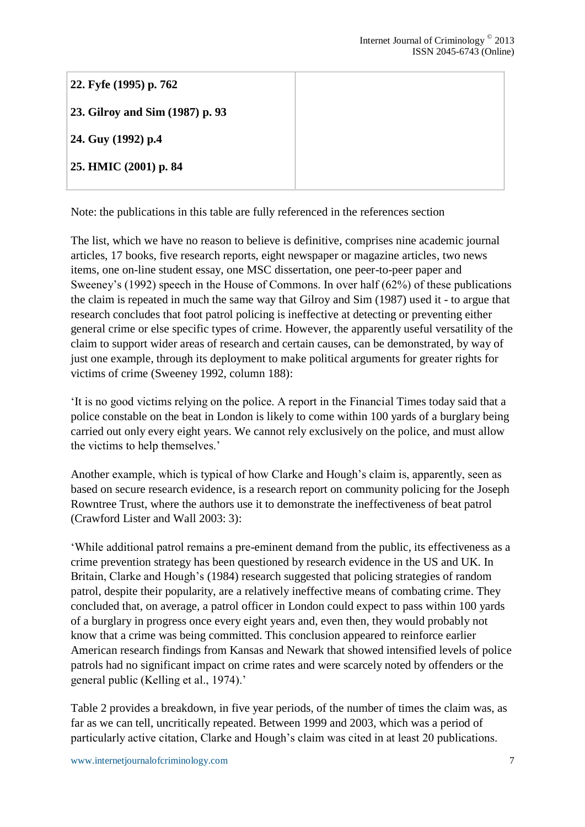**22. Fyfe (1995) p. 762 23. Gilroy and Sim (1987) p. 93 24. Guy (1992) p.4 25. HMIC (2001) p. 84**

Note: the publications in this table are fully referenced in the references section

The list, which we have no reason to believe is definitive, comprises nine academic journal articles, 17 books, five research reports, eight newspaper or magazine articles, two news items, one on-line student essay, one MSC dissertation, one peer-to-peer paper and Sweeney's (1992) speech in the House of Commons. In over half (62%) of these publications the claim is repeated in much the same way that Gilroy and Sim (1987) used it - to argue that research concludes that foot patrol policing is ineffective at detecting or preventing either general crime or else specific types of crime. However, the apparently useful versatility of the claim to support wider areas of research and certain causes, can be demonstrated, by way of just one example, through its deployment to make political arguments for greater rights for victims of crime (Sweeney 1992, column 188):

'It is no good victims relying on the police. A report in the Financial Times today said that a police constable on the beat in London is likely to come within 100 yards of a burglary being carried out only every eight years. We cannot rely exclusively on the police, and must allow the victims to help themselves.'

Another example, which is typical of how Clarke and Hough's claim is, apparently, seen as based on secure research evidence, is a research report on community policing for the Joseph Rowntree Trust, where the authors use it to demonstrate the ineffectiveness of beat patrol (Crawford Lister and Wall 2003: 3):

'While additional patrol remains a pre-eminent demand from the public, its effectiveness as a crime prevention strategy has been questioned by research evidence in the US and UK. In Britain, Clarke and Hough's (1984) research suggested that policing strategies of random patrol, despite their popularity, are a relatively ineffective means of combating crime. They concluded that, on average, a patrol officer in London could expect to pass within 100 yards of a burglary in progress once every eight years and, even then, they would probably not know that a crime was being committed. This conclusion appeared to reinforce earlier American research findings from Kansas and Newark that showed intensified levels of police patrols had no significant impact on crime rates and were scarcely noted by offenders or the general public (Kelling et al., 1974).'

Table 2 provides a breakdown, in five year periods, of the number of times the claim was, as far as we can tell, uncritically repeated. Between 1999 and 2003, which was a period of particularly active citation, Clarke and Hough's claim was cited in at least 20 publications.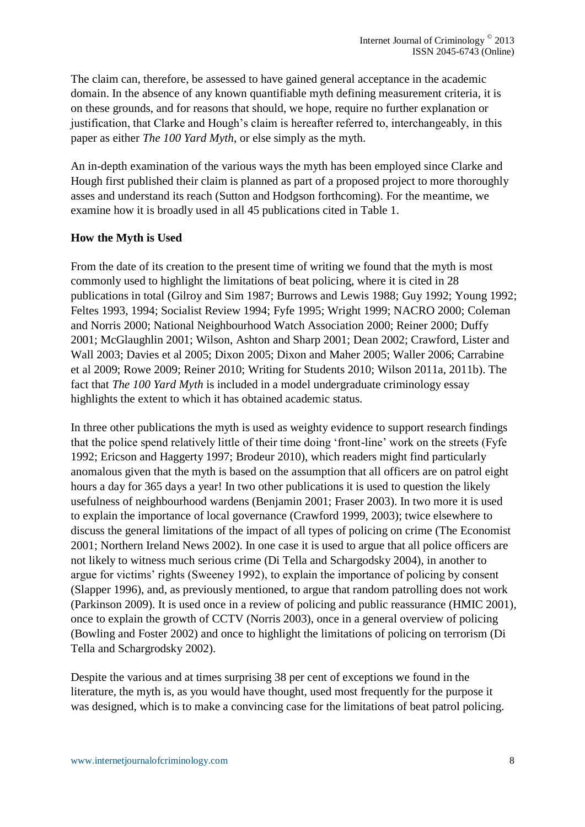The claim can, therefore, be assessed to have gained general acceptance in the academic domain. In the absence of any known quantifiable myth defining measurement criteria, it is on these grounds, and for reasons that should, we hope, require no further explanation or justification, that Clarke and Hough's claim is hereafter referred to, interchangeably, in this paper as either *The 100 Yard Myth*, or else simply as the myth.

An in-depth examination of the various ways the myth has been employed since Clarke and Hough first published their claim is planned as part of a proposed project to more thoroughly asses and understand its reach (Sutton and Hodgson forthcoming). For the meantime, we examine how it is broadly used in all 45 publications cited in Table 1.

#### **How the Myth is Used**

From the date of its creation to the present time of writing we found that the myth is most commonly used to highlight the limitations of beat policing, where it is cited in 28 publications in total (Gilroy and Sim 1987; Burrows and Lewis 1988; Guy 1992; Young 1992; Feltes 1993, 1994; Socialist Review 1994; Fyfe 1995; Wright 1999; NACRO 2000; Coleman and Norris 2000; National Neighbourhood Watch Association 2000; Reiner 2000; Duffy 2001; McGlaughlin 2001; Wilson, Ashton and Sharp 2001; Dean 2002; Crawford, Lister and Wall 2003; Davies et al 2005; Dixon 2005; Dixon and Maher 2005; Waller 2006; Carrabine et al 2009; Rowe 2009; Reiner 2010; Writing for Students 2010; Wilson 2011a, 2011b). The fact that *The 100 Yard Myth* is included in a model undergraduate criminology essay highlights the extent to which it has obtained academic status.

In three other publications the myth is used as weighty evidence to support research findings that the police spend relatively little of their time doing 'front-line' work on the streets (Fyfe 1992; Ericson and Haggerty 1997; Brodeur 2010), which readers might find particularly anomalous given that the myth is based on the assumption that all officers are on patrol eight hours a day for 365 days a year! In two other publications it is used to question the likely usefulness of neighbourhood wardens (Benjamin 2001; Fraser 2003). In two more it is used to explain the importance of local governance (Crawford 1999, 2003); twice elsewhere to discuss the general limitations of the impact of all types of policing on crime (The Economist 2001; Northern Ireland News 2002). In one case it is used to argue that all police officers are not likely to witness much serious crime (Di Tella and Schargodsky 2004), in another to argue for victims' rights (Sweeney 1992), to explain the importance of policing by consent (Slapper 1996), and, as previously mentioned, to argue that random patrolling does not work (Parkinson 2009). It is used once in a review of policing and public reassurance (HMIC 2001), once to explain the growth of CCTV (Norris 2003), once in a general overview of policing (Bowling and Foster 2002) and once to highlight the limitations of policing on terrorism (Di Tella and Schargrodsky 2002).

Despite the various and at times surprising 38 per cent of exceptions we found in the literature, the myth is, as you would have thought, used most frequently for the purpose it was designed, which is to make a convincing case for the limitations of beat patrol policing.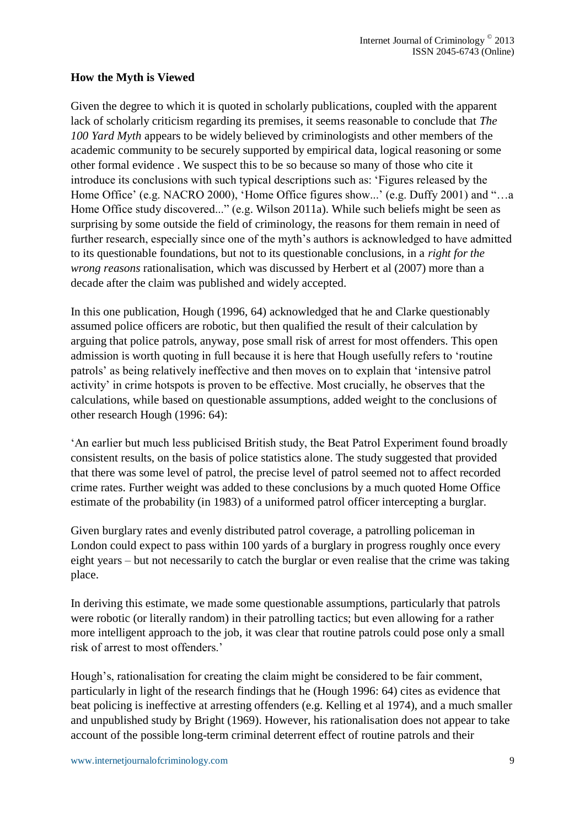# **How the Myth is Viewed**

Given the degree to which it is quoted in scholarly publications, coupled with the apparent lack of scholarly criticism regarding its premises, it seems reasonable to conclude that *The 100 Yard Myth* appears to be widely believed by criminologists and other members of the academic community to be securely supported by empirical data, logical reasoning or some other formal evidence . We suspect this to be so because so many of those who cite it introduce its conclusions with such typical descriptions such as: 'Figures released by the Home Office' (e.g. NACRO 2000), 'Home Office figures show...' (e.g. Duffy 2001) and "…a Home Office study discovered..." (e.g. Wilson 2011a). While such beliefs might be seen as surprising by some outside the field of criminology, the reasons for them remain in need of further research, especially since one of the myth's authors is acknowledged to have admitted to its questionable foundations, but not to its questionable conclusions, in a *right for the wrong reasons* rationalisation, which was discussed by Herbert et al (2007) more than a decade after the claim was published and widely accepted.

In this one publication, Hough (1996, 64) acknowledged that he and Clarke questionably assumed police officers are robotic, but then qualified the result of their calculation by arguing that police patrols, anyway, pose small risk of arrest for most offenders. This open admission is worth quoting in full because it is here that Hough usefully refers to 'routine patrols' as being relatively ineffective and then moves on to explain that 'intensive patrol activity' in crime hotspots is proven to be effective. Most crucially, he observes that the calculations, while based on questionable assumptions, added weight to the conclusions of other research Hough (1996: 64):

'An earlier but much less publicised British study, the Beat Patrol Experiment found broadly consistent results, on the basis of police statistics alone. The study suggested that provided that there was some level of patrol, the precise level of patrol seemed not to affect recorded crime rates. Further weight was added to these conclusions by a much quoted Home Office estimate of the probability (in 1983) of a uniformed patrol officer intercepting a burglar.

Given burglary rates and evenly distributed patrol coverage, a patrolling policeman in London could expect to pass within 100 yards of a burglary in progress roughly once every eight years – but not necessarily to catch the burglar or even realise that the crime was taking place.

In deriving this estimate, we made some questionable assumptions, particularly that patrols were robotic (or literally random) in their patrolling tactics; but even allowing for a rather more intelligent approach to the job, it was clear that routine patrols could pose only a small risk of arrest to most offenders.'

Hough's, rationalisation for creating the claim might be considered to be fair comment, particularly in light of the research findings that he (Hough 1996: 64) cites as evidence that beat policing is ineffective at arresting offenders (e.g. Kelling et al 1974), and a much smaller and unpublished study by Bright (1969). However, his rationalisation does not appear to take account of the possible long-term criminal deterrent effect of routine patrols and their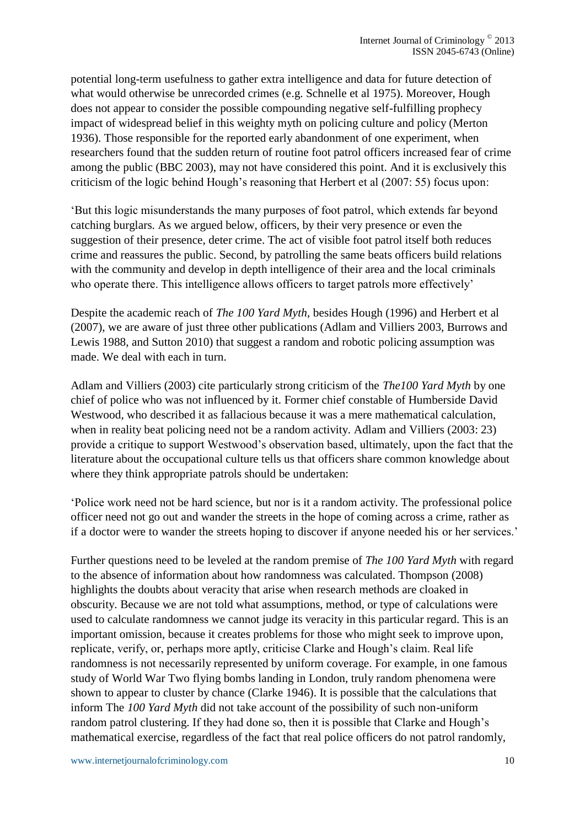potential long-term usefulness to gather extra intelligence and data for future detection of what would otherwise be unrecorded crimes (e.g. Schnelle et al 1975). Moreover, Hough does not appear to consider the possible compounding negative self-fulfilling prophecy impact of widespread belief in this weighty myth on policing culture and policy (Merton 1936). Those responsible for the reported early abandonment of one experiment, when researchers found that the sudden return of routine foot patrol officers increased fear of crime among the public (BBC 2003), may not have considered this point. And it is exclusively this criticism of the logic behind Hough's reasoning that Herbert et al (2007: 55) focus upon:

'But this logic misunderstands the many purposes of foot patrol, which extends far beyond catching burglars. As we argued below, officers, by their very presence or even the suggestion of their presence, deter crime. The act of visible foot patrol itself both reduces crime and reassures the public. Second, by patrolling the same beats officers build relations with the community and develop in depth intelligence of their area and the local criminals who operate there. This intelligence allows officers to target patrols more effectively'

Despite the academic reach of *The 100 Yard Myth*, besides Hough (1996) and Herbert et al (2007), we are aware of just three other publications (Adlam and Villiers 2003, Burrows and Lewis 1988, and Sutton 2010) that suggest a random and robotic policing assumption was made. We deal with each in turn.

Adlam and Villiers (2003) cite particularly strong criticism of the *The100 Yard Myth* by one chief of police who was not influenced by it. Former chief constable of Humberside David Westwood, who described it as fallacious because it was a mere mathematical calculation, when in reality beat policing need not be a random activity. Adlam and Villiers (2003: 23) provide a critique to support Westwood's observation based, ultimately, upon the fact that the literature about the occupational culture tells us that officers share common knowledge about where they think appropriate patrols should be undertaken:

'Police work need not be hard science, but nor is it a random activity. The professional police officer need not go out and wander the streets in the hope of coming across a crime, rather as if a doctor were to wander the streets hoping to discover if anyone needed his or her services.'

Further questions need to be leveled at the random premise of *The 100 Yard Myth* with regard to the absence of information about how randomness was calculated. Thompson (2008) highlights the doubts about veracity that arise when research methods are cloaked in obscurity. Because we are not told what assumptions, method, or type of calculations were used to calculate randomness we cannot judge its veracity in this particular regard. This is an important omission, because it creates problems for those who might seek to improve upon, replicate, verify, or, perhaps more aptly, criticise Clarke and Hough's claim. Real life randomness is not necessarily represented by uniform coverage. For example, in one famous study of World War Two flying bombs landing in London, truly random phenomena were shown to appear to cluster by chance (Clarke 1946). It is possible that the calculations that inform The *100 Yard Myth* did not take account of the possibility of such non-uniform random patrol clustering. If they had done so, then it is possible that Clarke and Hough's mathematical exercise, regardless of the fact that real police officers do not patrol randomly,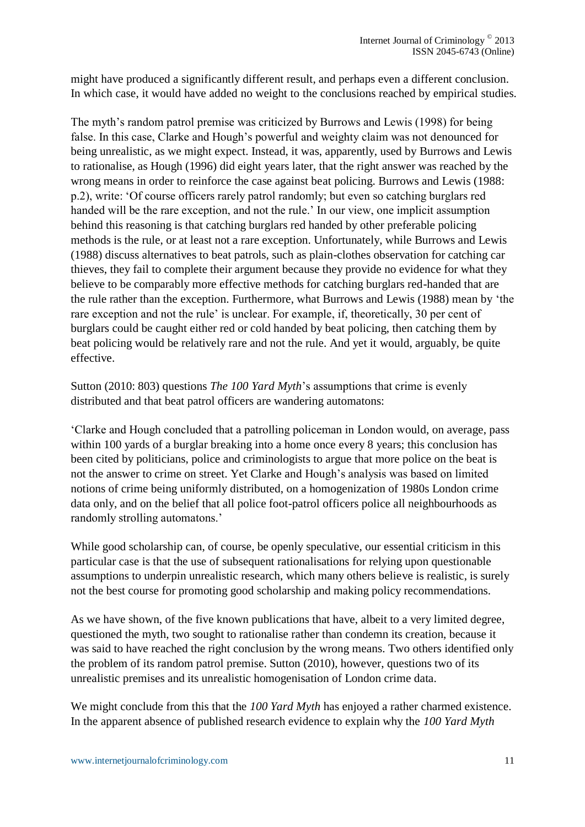might have produced a significantly different result, and perhaps even a different conclusion. In which case, it would have added no weight to the conclusions reached by empirical studies.

The myth's random patrol premise was criticized by Burrows and Lewis (1998) for being false. In this case, Clarke and Hough's powerful and weighty claim was not denounced for being unrealistic, as we might expect. Instead, it was, apparently, used by Burrows and Lewis to rationalise, as Hough (1996) did eight years later, that the right answer was reached by the wrong means in order to reinforce the case against beat policing. Burrows and Lewis (1988: p.2), write: 'Of course officers rarely patrol randomly; but even so catching burglars red handed will be the rare exception, and not the rule.' In our view, one implicit assumption behind this reasoning is that catching burglars red handed by other preferable policing methods is the rule, or at least not a rare exception. Unfortunately, while Burrows and Lewis (1988) discuss alternatives to beat patrols, such as plain-clothes observation for catching car thieves, they fail to complete their argument because they provide no evidence for what they believe to be comparably more effective methods for catching burglars red-handed that are the rule rather than the exception. Furthermore, what Burrows and Lewis (1988) mean by 'the rare exception and not the rule' is unclear. For example, if, theoretically, 30 per cent of burglars could be caught either red or cold handed by beat policing, then catching them by beat policing would be relatively rare and not the rule. And yet it would, arguably, be quite effective.

Sutton (2010: 803) questions *The 100 Yard Myth*'s assumptions that crime is evenly distributed and that beat patrol officers are wandering automatons:

'Clarke and Hough concluded that a patrolling policeman in London would, on average, pass within 100 yards of a burglar breaking into a home once every 8 years; this conclusion has been cited by politicians, police and criminologists to argue that more police on the beat is not the answer to crime on street. Yet Clarke and Hough's analysis was based on limited notions of crime being uniformly distributed, on a homogenization of 1980s London crime data only, and on the belief that all police foot-patrol officers police all neighbourhoods as randomly strolling automatons.'

While good scholarship can, of course, be openly speculative, our essential criticism in this particular case is that the use of subsequent rationalisations for relying upon questionable assumptions to underpin unrealistic research, which many others believe is realistic, is surely not the best course for promoting good scholarship and making policy recommendations.

As we have shown, of the five known publications that have, albeit to a very limited degree, questioned the myth, two sought to rationalise rather than condemn its creation, because it was said to have reached the right conclusion by the wrong means. Two others identified only the problem of its random patrol premise. Sutton (2010), however, questions two of its unrealistic premises and its unrealistic homogenisation of London crime data.

We might conclude from this that the *100 Yard Myth* has enjoyed a rather charmed existence. In the apparent absence of published research evidence to explain why the *100 Yard Myth*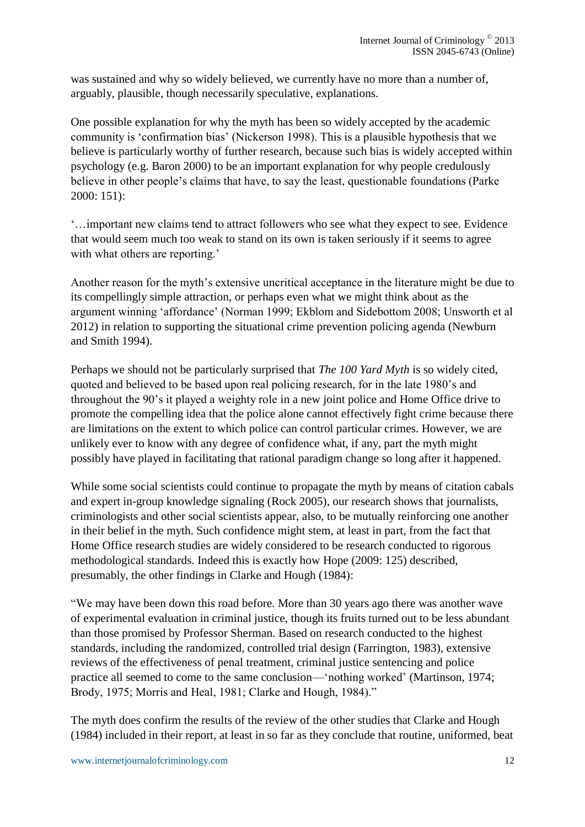was sustained and why so widely believed, we currently have no more than a number of, arguably, plausible, though necessarily speculative, explanations.

One possible explanation for why the myth has been so widely accepted by the academic community is 'confirmation bias' (Nickerson 1998). This is a plausible hypothesis that we believe is particularly worthy of further research, because such bias is widely accepted within psychology (e.g. Baron 2000) to be an important explanation for why people credulously believe in other people's claims that have, to say the least, questionable foundations (Parke 2000: 151):

'…important new claims tend to attract followers who see what they expect to see. Evidence that would seem much too weak to stand on its own is taken seriously if it seems to agree with what others are reporting.'

Another reason for the myth's extensive uncritical acceptance in the literature might be due to its compellingly simple attraction, or perhaps even what we might think about as the argument winning 'affordance' (Norman 1999; Ekblom and Sidebottom 2008; Unsworth et al 2012) in relation to supporting the situational crime prevention policing agenda (Newburn and Smith 1994).

Perhaps we should not be particularly surprised that *The 100 Yard Myth* is so widely cited, quoted and believed to be based upon real policing research, for in the late 1980's and throughout the 90's it played a weighty role in a new joint police and Home Office drive to promote the compelling idea that the police alone cannot effectively fight crime because there are limitations on the extent to which police can control particular crimes. However, we are unlikely ever to know with any degree of confidence what, if any, part the myth might possibly have played in facilitating that rational paradigm change so long after it happened.

While some social scientists could continue to propagate the myth by means of citation cabals and expert in-group knowledge signaling (Rock 2005), our research shows that journalists, criminologists and other social scientists appear, also, to be mutually reinforcing one another in their belief in the myth. Such confidence might stem, at least in part, from the fact that Home Office research studies are widely considered to be research conducted to rigorous methodological standards. Indeed this is exactly how Hope (2009: 125) described, presumably, the other findings in Clarke and Hough (1984):

"We may have been down this road before. More than 30 years ago there was another wave of experimental evaluation in criminal justice, though its fruits turned out to be less abundant than those promised by Professor Sherman. Based on research conducted to the highest standards, including the randomized, controlled trial design (Farrington, 1983), extensive reviews of the effectiveness of penal treatment, criminal justice sentencing and police practice all seemed to come to the same conclusion—'nothing worked' (Martinson, 1974; Brody, 1975; Morris and Heal, 1981; Clarke and Hough, 1984)."

The myth does confirm the results of the review of the other studies that Clarke and Hough (1984) included in their report, at least in so far as they conclude that routine, uniformed, beat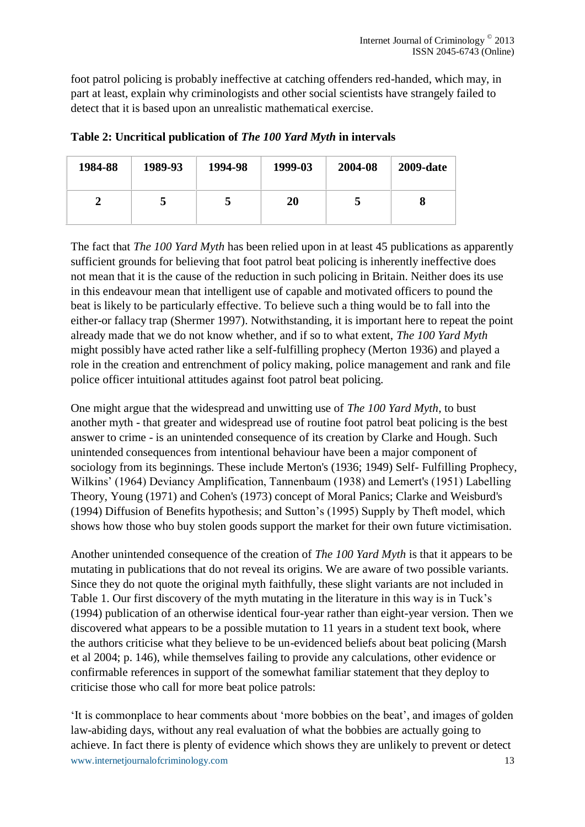foot patrol policing is probably ineffective at catching offenders red-handed, which may, in part at least, explain why criminologists and other social scientists have strangely failed to detect that it is based upon an unrealistic mathematical exercise.

| 1984-88 | 1989-93 | 1994-98 | 1999-03 | 2004-08 | <b>2009-date</b> |
|---------|---------|---------|---------|---------|------------------|
|         |         |         | 20      |         |                  |

**Table 2: Uncritical publication of** *The 100 Yard Myth* **in intervals**

The fact that *The 100 Yard Myth* has been relied upon in at least 45 publications as apparently sufficient grounds for believing that foot patrol beat policing is inherently ineffective does not mean that it is the cause of the reduction in such policing in Britain. Neither does its use in this endeavour mean that intelligent use of capable and motivated officers to pound the beat is likely to be particularly effective. To believe such a thing would be to fall into the either-or fallacy trap (Shermer 1997). Notwithstanding, it is important here to repeat the point already made that we do not know whether, and if so to what extent, *The 100 Yard Myth* might possibly have acted rather like a self-fulfilling prophecy (Merton 1936) and played a role in the creation and entrenchment of policy making, police management and rank and file police officer intuitional attitudes against foot patrol beat policing.

One might argue that the widespread and unwitting use of *The 100 Yard Myth*, to bust another myth - that greater and widespread use of routine foot patrol beat policing is the best answer to crime - is an unintended consequence of its creation by Clarke and Hough. Such unintended consequences from intentional behaviour have been a major component of sociology from its beginnings. These include Merton's (1936; 1949) Self- Fulfilling Prophecy, Wilkins' (1964) Deviancy Amplification, Tannenbaum (1938) and Lemert's (1951) Labelling Theory, Young (1971) and Cohen's (1973) concept of Moral Panics; Clarke and Weisburd's (1994) Diffusion of Benefits hypothesis; and Sutton's (1995) Supply by Theft model, which shows how those who buy stolen goods support the market for their own future victimisation.

Another unintended consequence of the creation of *The 100 Yard Myth* is that it appears to be mutating in publications that do not reveal its origins. We are aware of two possible variants. Since they do not quote the original myth faithfully, these slight variants are not included in Table 1. Our first discovery of the myth mutating in the literature in this way is in Tuck's (1994) publication of an otherwise identical four-year rather than eight-year version. Then we discovered what appears to be a possible mutation to 11 years in a student text book, where the authors criticise what they believe to be un-evidenced beliefs about beat policing (Marsh et al 2004; p. 146), while themselves failing to provide any calculations, other evidence or confirmable references in support of the somewhat familiar statement that they deploy to criticise those who call for more beat police patrols:

www.internetjournalofcriminology.com 13 'It is commonplace to hear comments about 'more bobbies on the beat', and images of golden law-abiding days, without any real evaluation of what the bobbies are actually going to achieve. In fact there is plenty of evidence which shows they are unlikely to prevent or detect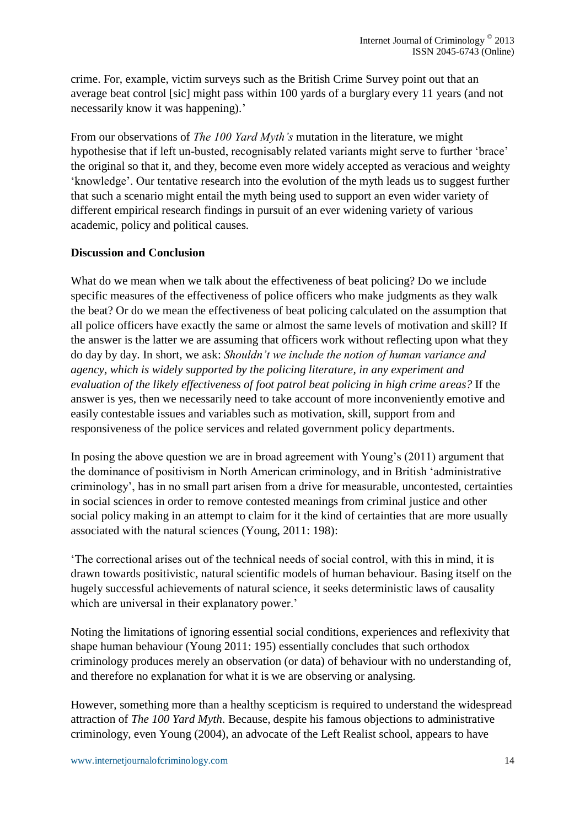crime. For, example, victim surveys such as the British Crime Survey point out that an average beat control [sic] might pass within 100 yards of a burglary every 11 years (and not necessarily know it was happening).'

From our observations of *The 100 Yard Myth's* mutation in the literature, we might hypothesise that if left un-busted, recognisably related variants might serve to further 'brace' the original so that it, and they, become even more widely accepted as veracious and weighty 'knowledge'. Our tentative research into the evolution of the myth leads us to suggest further that such a scenario might entail the myth being used to support an even wider variety of different empirical research findings in pursuit of an ever widening variety of various academic, policy and political causes.

# **Discussion and Conclusion**

What do we mean when we talk about the effectiveness of beat policing? Do we include specific measures of the effectiveness of police officers who make judgments as they walk the beat? Or do we mean the effectiveness of beat policing calculated on the assumption that all police officers have exactly the same or almost the same levels of motivation and skill? If the answer is the latter we are assuming that officers work without reflecting upon what they do day by day. In short, we ask: *Shouldn't we include the notion of human variance and agency, which is widely supported by the policing literature, in any experiment and evaluation of the likely effectiveness of foot patrol beat policing in high crime areas?* If the answer is yes, then we necessarily need to take account of more inconveniently emotive and easily contestable issues and variables such as motivation, skill, support from and responsiveness of the police services and related government policy departments.

In posing the above question we are in broad agreement with Young's (2011) argument that the dominance of positivism in North American criminology, and in British 'administrative criminology', has in no small part arisen from a drive for measurable, uncontested, certainties in social sciences in order to remove contested meanings from criminal justice and other social policy making in an attempt to claim for it the kind of certainties that are more usually associated with the natural sciences (Young, 2011: 198):

'The correctional arises out of the technical needs of social control, with this in mind, it is drawn towards positivistic, natural scientific models of human behaviour. Basing itself on the hugely successful achievements of natural science, it seeks deterministic laws of causality which are universal in their explanatory power.'

Noting the limitations of ignoring essential social conditions, experiences and reflexivity that shape human behaviour (Young 2011: 195) essentially concludes that such orthodox criminology produces merely an observation (or data) of behaviour with no understanding of, and therefore no explanation for what it is we are observing or analysing.

However, something more than a healthy scepticism is required to understand the widespread attraction of *The 100 Yard Myth*. Because, despite his famous objections to administrative criminology, even Young (2004), an advocate of the Left Realist school, appears to have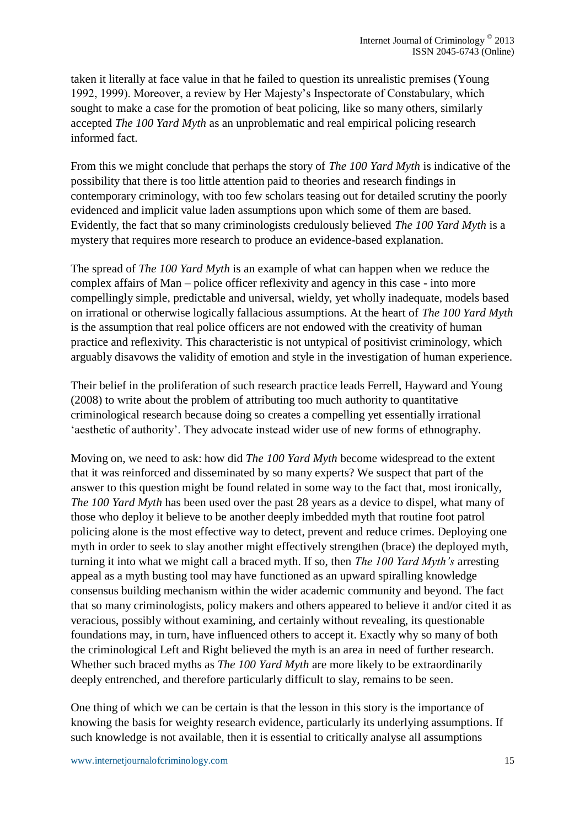taken it literally at face value in that he failed to question its unrealistic premises (Young 1992, 1999). Moreover, a review by Her Majesty's Inspectorate of Constabulary, which sought to make a case for the promotion of beat policing, like so many others, similarly accepted *The 100 Yard Myth* as an unproblematic and real empirical policing research informed fact.

From this we might conclude that perhaps the story of *The 100 Yard Myth* is indicative of the possibility that there is too little attention paid to theories and research findings in contemporary criminology, with too few scholars teasing out for detailed scrutiny the poorly evidenced and implicit value laden assumptions upon which some of them are based. Evidently, the fact that so many criminologists credulously believed *The 100 Yard Myth* is a mystery that requires more research to produce an evidence-based explanation.

The spread of *The 100 Yard Myth* is an example of what can happen when we reduce the complex affairs of Man – police officer reflexivity and agency in this case - into more compellingly simple, predictable and universal, wieldy, yet wholly inadequate, models based on irrational or otherwise logically fallacious assumptions. At the heart of *The 100 Yard Myth* is the assumption that real police officers are not endowed with the creativity of human practice and reflexivity. This characteristic is not untypical of positivist criminology, which arguably disavows the validity of emotion and style in the investigation of human experience.

Their belief in the proliferation of such research practice leads Ferrell, Hayward and Young (2008) to write about the problem of attributing too much authority to quantitative criminological research because doing so creates a compelling yet essentially irrational 'aesthetic of authority'. They advocate instead wider use of new forms of ethnography.

Moving on, we need to ask: how did *The 100 Yard Myth* become widespread to the extent that it was reinforced and disseminated by so many experts? We suspect that part of the answer to this question might be found related in some way to the fact that, most ironically, *The 100 Yard Myth* has been used over the past 28 years as a device to dispel, what many of those who deploy it believe to be another deeply imbedded myth that routine foot patrol policing alone is the most effective way to detect, prevent and reduce crimes. Deploying one myth in order to seek to slay another might effectively strengthen (brace) the deployed myth, turning it into what we might call a braced myth. If so, then *The 100 Yard Myth's* arresting appeal as a myth busting tool may have functioned as an upward spiralling knowledge consensus building mechanism within the wider academic community and beyond. The fact that so many criminologists, policy makers and others appeared to believe it and/or cited it as veracious, possibly without examining, and certainly without revealing, its questionable foundations may, in turn, have influenced others to accept it. Exactly why so many of both the criminological Left and Right believed the myth is an area in need of further research. Whether such braced myths as *The 100 Yard Myth* are more likely to be extraordinarily deeply entrenched, and therefore particularly difficult to slay, remains to be seen.

One thing of which we can be certain is that the lesson in this story is the importance of knowing the basis for weighty research evidence, particularly its underlying assumptions. If such knowledge is not available, then it is essential to critically analyse all assumptions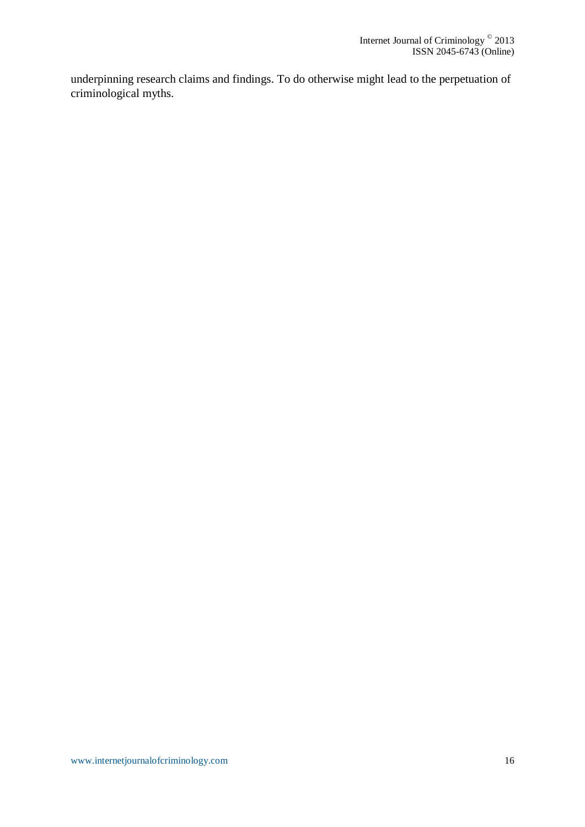underpinning research claims and findings. To do otherwise might lead to the perpetuation of criminological myths.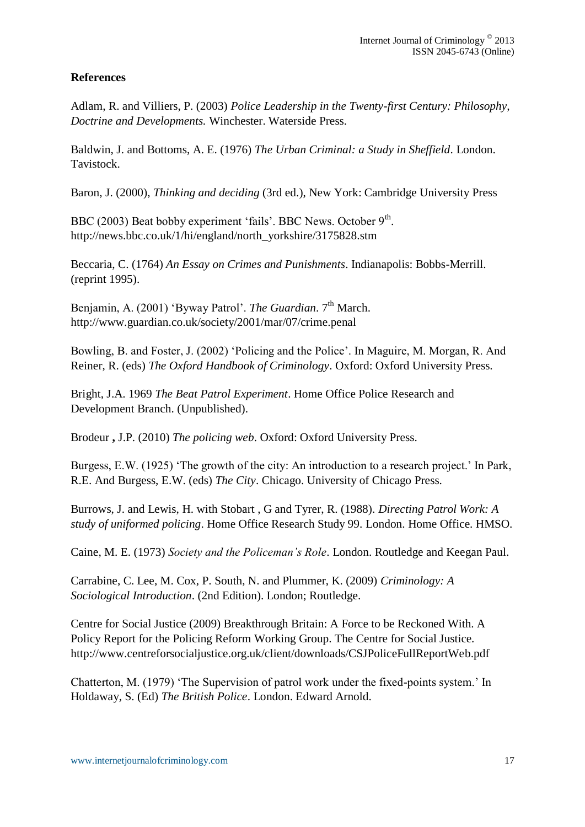# **References**

Adlam, R. and Villiers, P. (2003) *Police Leadership in the Twenty-first Century: Philosophy, Doctrine and Developments.* Winchester. Waterside Press.

Baldwin, J. and Bottoms, A. E. (1976) *The Urban Criminal: a Study in Sheffield*. London. Tavistock.

Baron, J. (2000), *Thinking and deciding* (3rd ed.), New York: Cambridge University Press

BBC (2003) Beat bobby experiment 'fails'. BBC News. October  $9<sup>th</sup>$ . [http://news.bbc.co.uk/1/hi/england/north\\_yorkshire/3175828.stm](http://news.bbc.co.uk/1/hi/england/north_yorkshire/3175828.stm)

Beccaria, C. (1764) *An Essay on Crimes and Punishments*. Indianapolis: Bobbs-Merrill. (reprint 1995).

Benjamin, A. (2001) 'Byway Patrol'. *The Guardian*. 7<sup>th</sup> March. <http://www.guardian.co.uk/society/2001/mar/07/crime.penal>

Bowling, B. and Foster, J. (2002) 'Policing and the Police'. In Maguire, M. Morgan, R. And Reiner, R. (eds) *The Oxford Handbook of Criminology*. Oxford: Oxford University Press.

Bright, J.A. 1969 *The Beat Patrol Experiment*. Home Office Police Research and Development Branch. (Unpublished).

Brodeur **,** J.P. (2010) *The policing web*. Oxford: Oxford University Press.

Burgess, E.W. (1925) 'The growth of the city: An introduction to a research project.' In Park, R.E. And Burgess, E.W. (eds) *The City*. Chicago. University of Chicago Press.

Burrows, J. and Lewis, H. with Stobart , G and Tyrer, R. (1988). *Directing Patrol Work: A study of uniformed policing*. Home Office Research Study 99. London. Home Office. HMSO.

Caine, M. E. (1973) *Society and the Policeman's Role*. London. Routledge and Keegan Paul.

Carrabine, C. Lee, M. Cox, P. South, N. and Plummer, K. (2009) *Criminology: A Sociological Introduction*. (2nd Edition). London; Routledge.

Centre for Social Justice (2009) Breakthrough Britain: A Force to be Reckoned With. A Policy Report for the Policing Reform Working Group. The Centre for Social Justice. <http://www.centreforsocialjustice.org.uk/client/downloads/CSJPoliceFullReportWeb.pdf>

Chatterton, M. (1979) 'The Supervision of patrol work under the fixed-points system.' In Holdaway, S. (Ed) *The British Police*. London. Edward Arnold.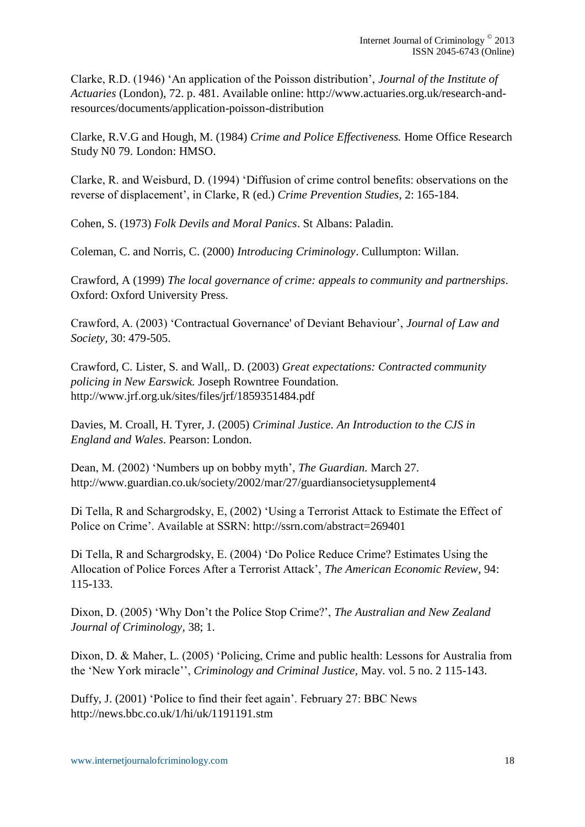Clarke, R.D. (1946) 'An application of the Poisson distribution', *Journal of the Institute of Actuaries* (London), 72. p. 481. Available online: [http://www.actuaries.org.uk/research-and](http://www.actuaries.org.uk/research-and-resources/documents/application-poisson-distribution)[resources/documents/application-poisson-distribution](http://www.actuaries.org.uk/research-and-resources/documents/application-poisson-distribution)

Clarke, R.V.G and Hough, M. (1984) *Crime and Police Effectiveness.* Home Office Research Study N0 79. London: HMSO.

Clarke, R. and Weisburd, D. (1994) 'Diffusion of crime control benefits: observations on the reverse of displacement', in Clarke, R (ed.) *Crime Prevention Studies*, 2: 165-184.

Cohen, S. (1973) *Folk Devils and Moral Panics*. St Albans: Paladin.

Coleman, C. and Norris, C. (2000) *Introducing Criminology*. Cullumpton: Willan.

Crawford, A (1999) *The local governance of crime: appeals to community and partnerships*. Oxford: Oxford University Press.

Crawford, A. (2003) 'Contractual Governance' of Deviant Behaviour', *Journal of Law and Society,* 30: 479-505.

Crawford, C. Lister, S. and Wall,. D. (2003) *Great expectations: Contracted community policing in New Earswick.* Joseph Rowntree Foundation. <http://www.jrf.org.uk/sites/files/jrf/1859351484.pdf>

Davies, M. Croall, H. Tyrer, J. (2005) *Criminal Justice. An Introduction to the CJS in England and Wales*. Pearson: London.

Dean, M. (2002) 'Numbers up on bobby myth', *The Guardian.* March 27. <http://www.guardian.co.uk/society/2002/mar/27/guardiansocietysupplement4>

Di Tella, R and Schargrodsky, E, (2002) 'Using a Terrorist Attack to Estimate the Effect of Police on Crime'. Available at SSRN:<http://ssrn.com/abstract=269401>

Di Tella, R and Schargrodsky, E. (2004) 'Do Police Reduce Crime? Estimates Using the Allocation of Police Forces After a Terrorist Attack', *The American Economic Review*, 94: 115-133.

Dixon, D. (2005) 'Why Don't the Police Stop Crime?', *The Australian and New Zealand Journal of Criminology,* 38; 1.

Dixon, D. & Maher, L. (2005) 'Policing, Crime and public health: Lessons for Australia from the 'New York miracle'', *Criminology and Criminal Justice,* May. vol. 5 no. 2 115-143.

Duffy, J. (2001) 'Police to find their feet again'. February 27: BBC News <http://news.bbc.co.uk/1/hi/uk/1191191.stm>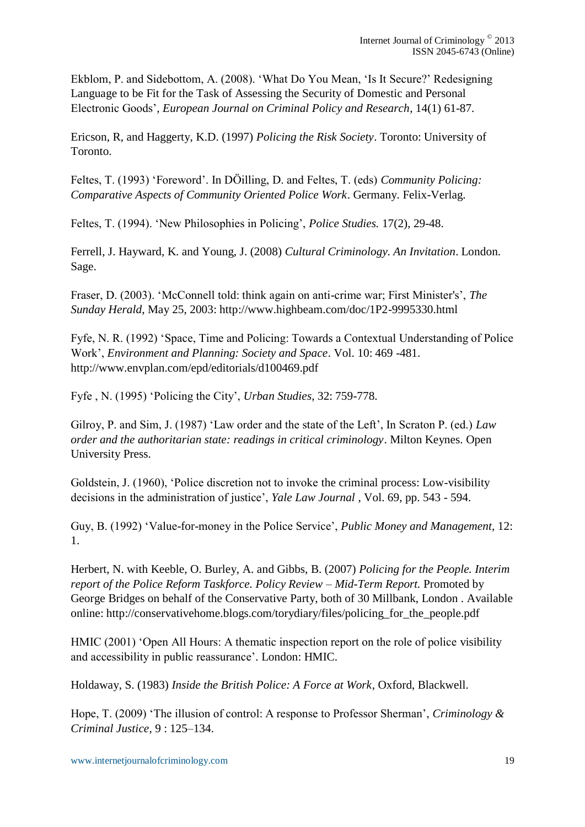Ekblom, P. and Sidebottom, A. (2008). 'What Do You Mean, 'Is It Secure?' Redesigning Language to be Fit for the Task of Assessing the Security of Domestic and Personal Electronic Goods'*, European Journal on Criminal Policy and Research*, 14(1) 61-87.

Ericson, R, and Haggerty, K.D. (1997) *Policing the Risk Society*. Toronto: University of Toronto.

Feltes, T. (1993) 'Foreword'. In DÖilling, D. and Feltes, T. (eds) *Community Policing: Comparative Aspects of Community Oriented Police Work*. Germany. Felix-Verlag.

Feltes, T. (1994). 'New Philosophies in Policing', *Police Studies.* 17(2), 29-48.

Ferrell, J. Hayward, K. and Young, J. (2008) *Cultural Criminology. An Invitation*. London. Sage.

Fraser, D. (2003). 'McConnell told: think again on anti-crime war; First Minister's', *The Sunday Herald*, May 25, 2003:<http://www.highbeam.com/doc/1P2-9995330.html>

Fyfe, N. R. (1992) 'Space, Time and Policing: Towards a Contextual Understanding of Police Work', *Environment and Planning: Society and Space*. Vol. 10: 469 -481. <http://www.envplan.com/epd/editorials/d100469.pdf>

Fyfe , N. (1995) 'Policing the City', *Urban Studies*, 32: 759-778.

Gilroy, P. and Sim, J. (1987) 'Law order and the state of the Left', In Scraton P. (ed.) *Law order and the authoritarian state: readings in critical criminology*. Milton Keynes. Open University Press.

Goldstein, J. (1960), 'Police discretion not to invoke the criminal process: Low-visibility decisions in the administration of justice', *Yale Law Journal* , Vol. 69, pp. 543 - 594.

Guy, B. (1992) 'Value-for-money in the Police Service', *Public Money and Management,* 12: 1.

Herbert, N. with Keeble, O. Burley, A. and Gibbs, B. (2007) *Policing for the People. Interim report of the Police Reform Taskforce. Policy Review – Mid-Term Report.* Promoted by George Bridges on behalf of the Conservative Party, both of 30 Millbank, London . Available online: [http://conservativehome.blogs.com/torydiary/files/policing\\_for\\_the\\_people.pdf](http://conservativehome.blogs.com/torydiary/files/policing_for_the_people.pdf)

HMIC (2001) 'Open All Hours: A thematic inspection report on the role of police visibility and accessibility in public reassurance'*.* London: HMIC.

Holdaway, S. (1983) *Inside the British Police: A Force at Work*, Oxford, Blackwell.

Hope, T. (2009) 'The illusion of control: A response to Professor Sherman', *Criminology & Criminal Justice,* 9 : 125–134.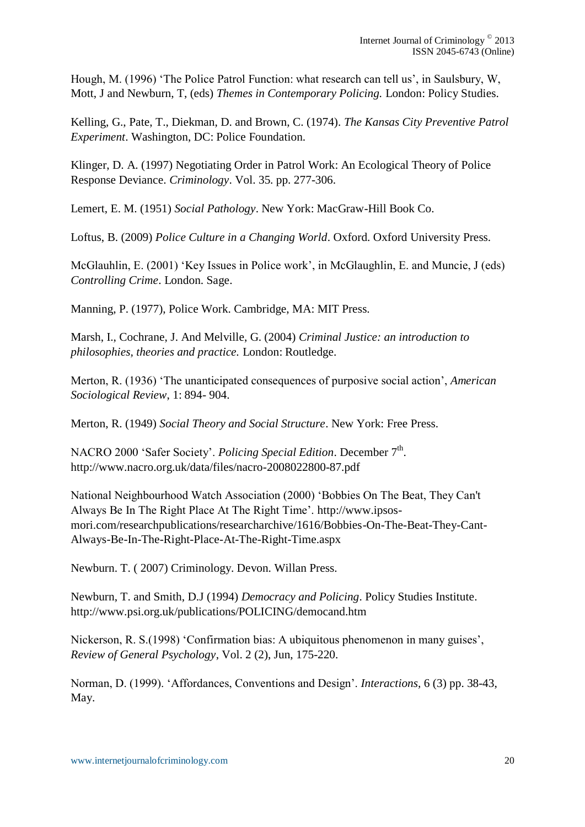Hough, M. (1996) 'The Police Patrol Function: what research can tell us', in Saulsbury, W, Mott, J and Newburn, T, (eds) *Themes in Contemporary Policing.* London: Policy Studies.

Kelling, G., Pate, T., Diekman, D. and Brown, C. (1974). *The Kansas City Preventive Patrol Experiment*. Washington, DC: Police Foundation.

Klinger, D. A. (1997) Negotiating Order in Patrol Work: An Ecological Theory of Police Response Deviance. *Criminology*. Vol. 35. pp. 277-306.

Lemert, E. M. (1951) *Social Pathology*. New York: MacGraw-Hill Book Co.

Loftus, B. (2009) *Police Culture in a Changing World*. Oxford. Oxford University Press.

McGlauhlin, E. (2001) 'Key Issues in Police work', in McGlaughlin, E. and Muncie, J (eds) *Controlling Crime*. London. Sage.

Manning, P. (1977), Police Work. Cambridge, MA: MIT Press.

Marsh, I., Cochrane, J. And Melville, G. (2004) *Criminal Justice: an introduction to philosophies, theories and practice.* London: Routledge.

Merton, R. (1936) 'The unanticipated consequences of purposive social action', *American Sociological Review*, 1: 894- 904.

Merton, R. (1949) *Social Theory and Social Structure*. New York: Free Press.

NACRO 2000 'Safer Society'. *Policing Special Edition*. December 7<sup>th</sup>. <http://www.nacro.org.uk/data/files/nacro-2008022800-87.pdf>

National Neighbourhood Watch Association (2000) 'Bobbies On The Beat, They Can't Always Be In The Right Place At The Right Time'. [http://www.ipsos](http://www.ipsos-mori.com/researchpublications/researcharchive/1616/Bobbies-On-The-Beat-They-Cant-Always-Be-In-The-Right-Place-At-The-Right-Time.aspx)[mori.com/researchpublications/researcharchive/1616/Bobbies-On-The-Beat-They-Cant-](http://www.ipsos-mori.com/researchpublications/researcharchive/1616/Bobbies-On-The-Beat-They-Cant-Always-Be-In-The-Right-Place-At-The-Right-Time.aspx)[Always-Be-In-The-Right-Place-At-The-Right-Time.aspx](http://www.ipsos-mori.com/researchpublications/researcharchive/1616/Bobbies-On-The-Beat-They-Cant-Always-Be-In-The-Right-Place-At-The-Right-Time.aspx)

Newburn. T. ( 2007) Criminology. Devon. Willan Press.

Newburn, T. and Smith, D.J (1994) *Democracy and Policing*. Policy Studies Institute. <http://www.psi.org.uk/publications/POLICING/democand.htm>

Nickerson, R. S.(1998) 'Confirmation bias: A ubiquitous phenomenon in many guises', *Review of General Psychology*, Vol. 2 (2), Jun, 175-220.

Norman, D. (1999). 'Affordances, Conventions and Design'. *Interactions,* 6 (3) pp. 38-43, May.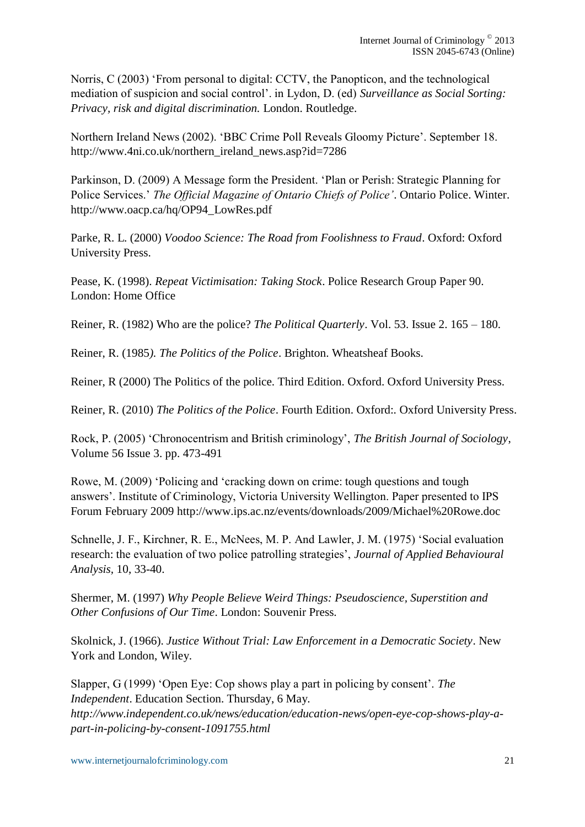Norris, C (2003) 'From personal to digital: CCTV, the Panopticon, and the technological mediation of suspicion and social control'. in Lydon, D. (ed) *Surveillance as Social Sorting: Privacy, risk and digital discrimination.* London. Routledge.

Northern Ireland News (2002). 'BBC Crime Poll Reveals Gloomy Picture'. September 18. [http://www.4ni.co.uk/northern\\_ireland\\_news.asp?id=7286](http://www.4ni.co.uk/northern_ireland_news.asp?id=7286)

Parkinson, D. (2009) A Message form the President. 'Plan or Perish: Strategic Planning for Police Services.' *The Official Magazine of Ontario Chiefs of Police'*. Ontario Police. Winter. [http://www.oacp.ca/hq/OP94\\_LowRes.pdf](http://www.oacp.ca/hq/OP94_LowRes.pdf)

Parke, R. L. (2000) *Voodoo Science: The Road from Foolishness to Fraud*. Oxford: Oxford University Press.

Pease, K. (1998). *Repeat Victimisation: Taking Stock*. Police Research Group Paper 90. London: Home Office

Reiner, R. (1982) Who are the police? *The Political Quarterly*. Vol. 53. Issue 2. 165 – 180.

Reiner, R. (1985*). The Politics of the Police*. Brighton. Wheatsheaf Books.

Reiner, R (2000) The Politics of the police. Third Edition. Oxford. Oxford University Press.

Reiner, R. (2010) *The Politics of the Police*. Fourth Edition. Oxford:. Oxford University Press.

Rock, P. (2005) 'Chronocentrism and British criminology', *The British Journal of Sociology*, Volume 56 Issue 3. pp. 473-491

Rowe, M. (2009) 'Policing and 'cracking down on crime: tough questions and tough answers'. Institute of Criminology, Victoria University Wellington. Paper presented to IPS Forum February 2009<http://www.ips.ac.nz/events/downloads/2009/Michael%20Rowe.doc>

Schnelle, J. F., Kirchner, R. E., McNees, M. P. And Lawler, J. M. (1975) 'Social evaluation research: the evaluation of two police patrolling strategies', *Journal of Applied Behavioural Analysis,* 10, 33-40.

Shermer, M. (1997) *Why People Believe Weird Things: Pseudoscience, Superstition and Other Confusions of Our Time*. London: Souvenir Press.

Skolnick, J. (1966). *Justice Without Trial: Law Enforcement in a Democratic Society*. New York and London, Wiley.

Slapper, G (1999) 'Open Eye: Cop shows play a part in policing by consent'. *The Independent*. Education Section. Thursday, 6 May*. [http://www.independent.co.uk/news/education/education-news/open-eye-cop-shows-play-a](http://www.independent.co.uk/news/education/education-news/open-eye-cop-shows-play-a-part-in-policing-by-consent-1091755.html)[part-in-policing-by-consent-1091755.html](http://www.independent.co.uk/news/education/education-news/open-eye-cop-shows-play-a-part-in-policing-by-consent-1091755.html)*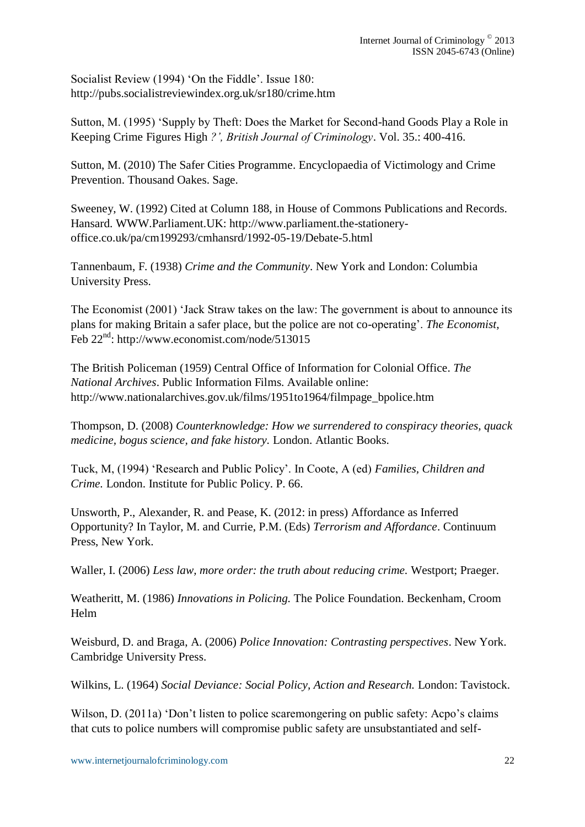Socialist Review (1994) 'On the Fiddle'. Issue 180: <http://pubs.socialistreviewindex.org.uk/sr180/crime.htm>

Sutton, M. (1995) 'Supply by Theft: Does the Market for Second-hand Goods Play a Role in Keeping Crime Figures High *?', British Journal of Criminology*. Vol. 35.: 400-416.

Sutton, M. (2010) The Safer Cities Programme. Encyclopaedia of Victimology and Crime Prevention. Thousand Oakes. Sage.

Sweeney, W. (1992) Cited at Column 188, in House of Commons Publications and Records. Hansard. WWW.Parliament.UK: [http://www.parliament.the-stationery](http://www.parliament.the-stationery-office.co.uk/pa/cm199293/cmhansrd/1992-05-19/Debate-5.html)[office.co.uk/pa/cm199293/cmhansrd/1992-05-19/Debate-5.html](http://www.parliament.the-stationery-office.co.uk/pa/cm199293/cmhansrd/1992-05-19/Debate-5.html)

Tannenbaum, F. (1938) *Crime and the Community*. New York and London: Columbia University Press.

The Economist (2001) 'Jack Straw takes on the law: The government is about to announce its plans for making Britain a safer place, but the police are not co-operating'. *The Economist,* Feb 22<sup>nd</sup>:<http://www.economist.com/node/513015>

The British Policeman (1959) Central Office of Information for Colonial Office. *The National Archives*. Public Information Films. Available online: [http://www.nationalarchives.gov.uk/films/1951to1964/filmpage\\_bpolice.htm](http://www.nationalarchives.gov.uk/films/1951to1964/filmpage_bpolice.htm)

Thompson, D. (2008) *Counterknowledge: How we surrendered to conspiracy theories, quack medicine, bogus science, and fake history.* London. Atlantic Books.

Tuck, M, (1994) 'Research and Public Policy'. In Coote, A (ed) *Families, Children and Crime.* London. Institute for Public Policy. P. 66.

Unsworth, P., Alexander, R. and Pease, K. (2012: in press) Affordance as Inferred Opportunity? In Taylor, M. and Currie, P.M. (Eds) *Terrorism and Affordance*. Continuum Press, New York.

Waller, I. (2006) *Less law, more order: the truth about reducing crime.* Westport; Praeger.

Weatheritt, M. (1986) *Innovations in Policing.* The Police Foundation. Beckenham, Croom Helm

Weisburd, D. and Braga, A. (2006) *Police Innovation: Contrasting perspectives*. New York. Cambridge University Press.

Wilkins, L. (1964) *Social Deviance: Social Policy, Action and Research.* London: Tavistock.

Wilson, D. (2011a) 'Don't listen to police scaremongering on public safety: Acpo's claims that cuts to police numbers will compromise public safety are unsubstantiated and self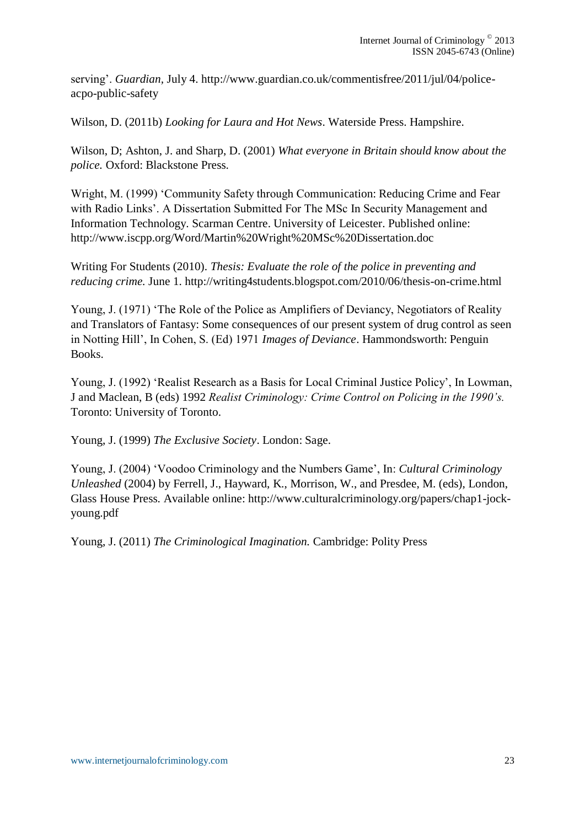serving'. *Guardian,* July 4. [http://www.guardian.co.uk/commentisfree/2011/jul/04/police](http://www.guardian.co.uk/commentisfree/2011/jul/04/police-acpo-public-safety)[acpo-public-safety](http://www.guardian.co.uk/commentisfree/2011/jul/04/police-acpo-public-safety)

Wilson, D. (2011b) *Looking for Laura and Hot News*. Waterside Press. Hampshire.

Wilson, D; Ashton, J. and Sharp, D. (2001) *What everyone in Britain should know about the police.* Oxford: Blackstone Press.

Wright, M. (1999) 'Community Safety through Communication: Reducing Crime and Fear with Radio Links'. A Dissertation Submitted For The MSc In Security Management and Information Technology. Scarman Centre. University of Leicester. Published online: <http://www.iscpp.org/Word/Martin%20Wright%20MSc%20Dissertation.doc>

Writing For Students (2010). *Thesis: Evaluate the role of the police in preventing and reducing crime.* June 1.<http://writing4students.blogspot.com/2010/06/thesis-on-crime.html>

Young, J. (1971) 'The Role of the Police as Amplifiers of Deviancy, Negotiators of Reality and Translators of Fantasy: Some consequences of our present system of drug control as seen in Notting Hill', In Cohen, S. (Ed) 1971 *Images of Deviance*. Hammondsworth: Penguin Books.

Young, J. (1992) 'Realist Research as a Basis for Local Criminal Justice Policy', In Lowman, J and Maclean, B (eds) 1992 *Realist Criminology: Crime Control on Policing in the 1990's.*  Toronto: University of Toronto.

Young, J. (1999) *The Exclusive Society*. London: Sage.

Young, J. (2004) 'Voodoo Criminology and the Numbers Game', In: *Cultural Criminology Unleashed* (2004) by Ferrell, J., Hayward, K., Morrison, W., and Presdee, M. (eds), London, Glass House Press. Available online: [http://www.culturalcriminology.org/papers/chap1-jock](http://www.culturalcriminology.org/papers/chap1-jock-young.pdf)[young.pdf](http://www.culturalcriminology.org/papers/chap1-jock-young.pdf)

Young, J. (2011) *The Criminological Imagination.* Cambridge: Polity Press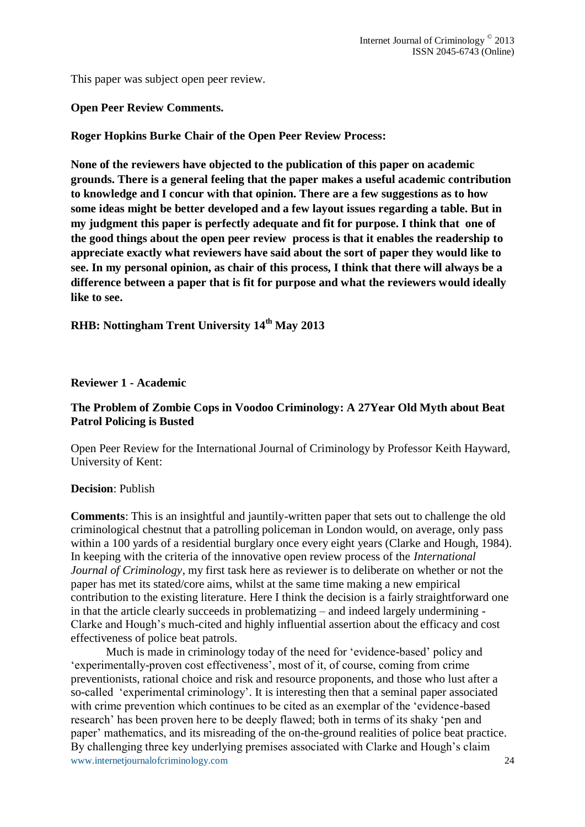This paper was subject open peer review.

**Open Peer Review Comments.**

**Roger Hopkins Burke Chair of the Open Peer Review Process:**

**None of the reviewers have objected to the publication of this paper on academic grounds. There is a general feeling that the paper makes a useful academic contribution to knowledge and I concur with that opinion. There are a few suggestions as to how some ideas might be better developed and a few layout issues regarding a table. But in my judgment this paper is perfectly adequate and fit for purpose. I think that one of the good things about the open peer review process is that it enables the readership to appreciate exactly what reviewers have said about the sort of paper they would like to see. In my personal opinion, as chair of this process, I think that there will always be a difference between a paper that is fit for purpose and what the reviewers would ideally like to see.** 

# **RHB: Nottingham Trent University 14th May 2013**

#### **Reviewer 1 - Academic**

### **The Problem of Zombie Cops in Voodoo Criminology: A 27Year Old Myth about Beat Patrol Policing is Busted**

Open Peer Review for the International Journal of Criminology by Professor Keith Hayward, University of Kent:

#### **Decision**: Publish

**Comments**: This is an insightful and jauntily-written paper that sets out to challenge the old criminological chestnut that a patrolling policeman in London would, on average, only pass within a 100 yards of a residential burglary once every eight years (Clarke and Hough, 1984). In keeping with the criteria of the innovative open review process of the *International Journal of Criminology*, my first task here as reviewer is to deliberate on whether or not the paper has met its stated/core aims, whilst at the same time making a new empirical contribution to the existing literature. Here I think the decision is a fairly straightforward one in that the article clearly succeeds in problematizing – and indeed largely undermining - Clarke and Hough's much-cited and highly influential assertion about the efficacy and cost effectiveness of police beat patrols.

www.internetjournalofcriminology.com 24 Much is made in criminology today of the need for 'evidence-based' policy and 'experimentally-proven cost effectiveness', most of it, of course, coming from crime preventionists, rational choice and risk and resource proponents, and those who lust after a so-called 'experimental criminology'. It is interesting then that a seminal paper associated with crime prevention which continues to be cited as an exemplar of the 'evidence-based research' has been proven here to be deeply flawed; both in terms of its shaky 'pen and paper' mathematics, and its misreading of the on-the-ground realities of police beat practice. By challenging three key underlying premises associated with Clarke and Hough's claim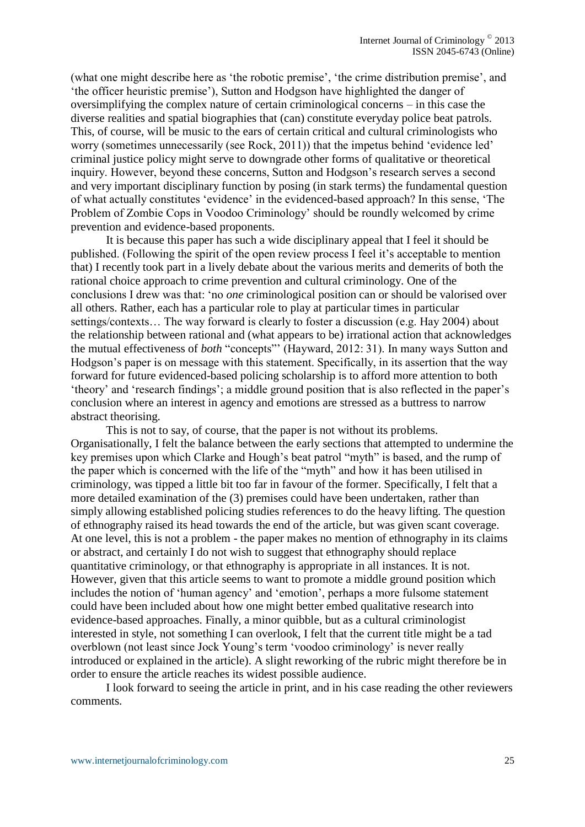(what one might describe here as 'the robotic premise', 'the crime distribution premise', and 'the officer heuristic premise'), Sutton and Hodgson have highlighted the danger of oversimplifying the complex nature of certain criminological concerns – in this case the diverse realities and spatial biographies that (can) constitute everyday police beat patrols. This, of course, will be music to the ears of certain critical and cultural criminologists who worry (sometimes unnecessarily (see Rock, 2011)) that the impetus behind 'evidence led' criminal justice policy might serve to downgrade other forms of qualitative or theoretical inquiry. However, beyond these concerns, Sutton and Hodgson's research serves a second and very important disciplinary function by posing (in stark terms) the fundamental question of what actually constitutes 'evidence' in the evidenced-based approach? In this sense, 'The Problem of Zombie Cops in Voodoo Criminology' should be roundly welcomed by crime prevention and evidence-based proponents.

It is because this paper has such a wide disciplinary appeal that I feel it should be published. (Following the spirit of the open review process I feel it's acceptable to mention that) I recently took part in a lively debate about the various merits and demerits of both the rational choice approach to crime prevention and cultural criminology. One of the conclusions I drew was that: 'no *one* criminological position can or should be valorised over all others. Rather, each has a particular role to play at particular times in particular settings/contexts… The way forward is clearly to foster a discussion (e.g. Hay 2004) about the relationship between rational and (what appears to be) irrational action that acknowledges the mutual effectiveness of *both* "concepts"' (Hayward, 2012: 31). In many ways Sutton and Hodgson's paper is on message with this statement. Specifically, in its assertion that the way forward for future evidenced-based policing scholarship is to afford more attention to both 'theory' and 'research findings'; a middle ground position that is also reflected in the paper's conclusion where an interest in agency and emotions are stressed as a buttress to narrow abstract theorising.

This is not to say, of course, that the paper is not without its problems. Organisationally, I felt the balance between the early sections that attempted to undermine the key premises upon which Clarke and Hough's beat patrol "myth" is based, and the rump of the paper which is concerned with the life of the "myth" and how it has been utilised in criminology, was tipped a little bit too far in favour of the former. Specifically, I felt that a more detailed examination of the (3) premises could have been undertaken, rather than simply allowing established policing studies references to do the heavy lifting. The question of ethnography raised its head towards the end of the article, but was given scant coverage. At one level, this is not a problem - the paper makes no mention of ethnography in its claims or abstract, and certainly I do not wish to suggest that ethnography should replace quantitative criminology, or that ethnography is appropriate in all instances. It is not. However, given that this article seems to want to promote a middle ground position which includes the notion of 'human agency' and 'emotion', perhaps a more fulsome statement could have been included about how one might better embed qualitative research into evidence-based approaches. Finally, a minor quibble, but as a cultural criminologist interested in style, not something I can overlook, I felt that the current title might be a tad overblown (not least since Jock Young's term 'voodoo criminology' is never really introduced or explained in the article). A slight reworking of the rubric might therefore be in order to ensure the article reaches its widest possible audience.

I look forward to seeing the article in print, and in his case reading the other reviewers comments.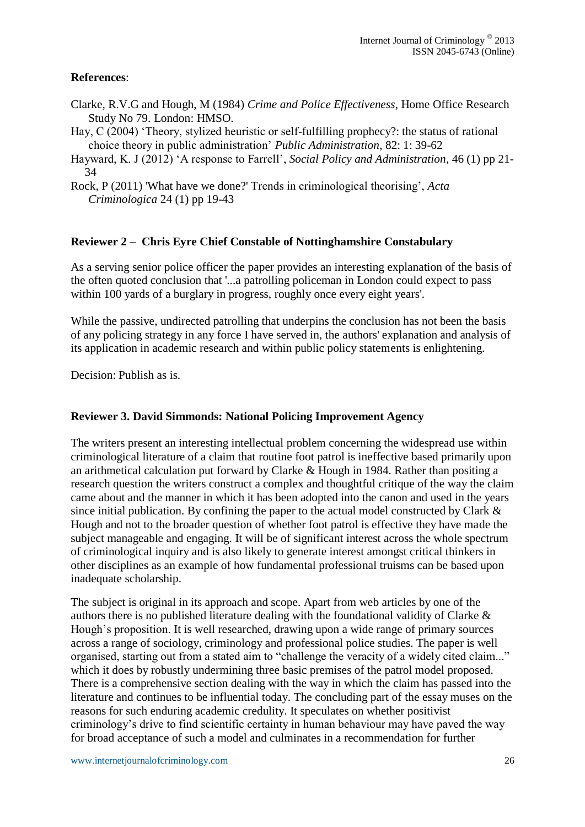#### **References**:

- Clarke, R.V.G and Hough, M (1984) *Crime and Police Effectiveness*, Home Office Research Study No 79. London: HMSO.
- Hay, C (2004) 'Theory, stylized heuristic or self-fulfilling prophecy?: the status of rational choice theory in public administration' *Public Administration*, 82: 1: 39-62
- Hayward, K. J (2012) 'A response to Farrell', *Social Policy and Administration*, 46 (1) pp 21- 34
- Rock, P (2011) 'What have we done?' Trends in criminological theorising', *Acta Criminologica* 24 (1) pp 19-43

#### **Reviewer 2 – Chris Eyre Chief Constable of Nottinghamshire Constabulary**

As a serving senior police officer the paper provides an interesting explanation of the basis of the often quoted conclusion that '...a patrolling policeman in London could expect to pass within 100 yards of a burglary in progress, roughly once every eight years'.

While the passive, undirected patrolling that underpins the conclusion has not been the basis of any policing strategy in any force I have served in, the authors' explanation and analysis of its application in academic research and within public policy statements is enlightening.

Decision: Publish as is.

#### **Reviewer 3. David Simmonds: National Policing Improvement Agency**

The writers present an interesting intellectual problem concerning the widespread use within criminological literature of a claim that routine foot patrol is ineffective based primarily upon an arithmetical calculation put forward by Clarke & Hough in 1984. Rather than positing a research question the writers construct a complex and thoughtful critique of the way the claim came about and the manner in which it has been adopted into the canon and used in the years since initial publication. By confining the paper to the actual model constructed by Clark  $\&$ Hough and not to the broader question of whether foot patrol is effective they have made the subject manageable and engaging. It will be of significant interest across the whole spectrum of criminological inquiry and is also likely to generate interest amongst critical thinkers in other disciplines as an example of how fundamental professional truisms can be based upon inadequate scholarship.

The subject is original in its approach and scope. Apart from web articles by one of the authors there is no published literature dealing with the foundational validity of Clarke & Hough's proposition. It is well researched, drawing upon a wide range of primary sources across a range of sociology, criminology and professional police studies. The paper is well organised, starting out from a stated aim to "challenge the veracity of a widely cited claim..." which it does by robustly undermining three basic premises of the patrol model proposed. There is a comprehensive section dealing with the way in which the claim has passed into the literature and continues to be influential today. The concluding part of the essay muses on the reasons for such enduring academic credulity. It speculates on whether positivist criminology's drive to find scientific certainty in human behaviour may have paved the way for broad acceptance of such a model and culminates in a recommendation for further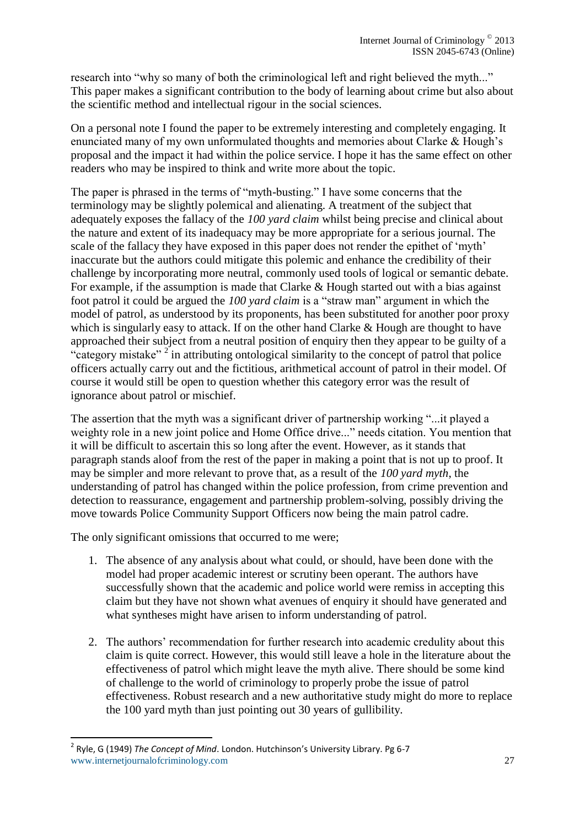research into "why so many of both the criminological left and right believed the myth..." This paper makes a significant contribution to the body of learning about crime but also about the scientific method and intellectual rigour in the social sciences.

On a personal note I found the paper to be extremely interesting and completely engaging. It enunciated many of my own unformulated thoughts and memories about Clarke & Hough's proposal and the impact it had within the police service. I hope it has the same effect on other readers who may be inspired to think and write more about the topic.

The paper is phrased in the terms of "myth-busting." I have some concerns that the terminology may be slightly polemical and alienating. A treatment of the subject that adequately exposes the fallacy of the *100 yard claim* whilst being precise and clinical about the nature and extent of its inadequacy may be more appropriate for a serious journal. The scale of the fallacy they have exposed in this paper does not render the epithet of 'myth' inaccurate but the authors could mitigate this polemic and enhance the credibility of their challenge by incorporating more neutral, commonly used tools of logical or semantic debate. For example, if the assumption is made that Clarke  $&$  Hough started out with a bias against foot patrol it could be argued the *100 yard claim* is a "straw man" argument in which the model of patrol, as understood by its proponents, has been substituted for another poor proxy which is singularly easy to attack. If on the other hand Clarke & Hough are thought to have approached their subject from a neutral position of enquiry then they appear to be guilty of a "category mistake"<sup>2</sup> in attributing ontological similarity to the concept of patrol that police officers actually carry out and the fictitious, arithmetical account of patrol in their model. Of course it would still be open to question whether this category error was the result of ignorance about patrol or mischief.

The assertion that the myth was a significant driver of partnership working "...it played a weighty role in a new joint police and Home Office drive..." needs citation. You mention that it will be difficult to ascertain this so long after the event. However, as it stands that paragraph stands aloof from the rest of the paper in making a point that is not up to proof. It may be simpler and more relevant to prove that, as a result of the *100 yard myth*, the understanding of patrol has changed within the police profession, from crime prevention and detection to reassurance, engagement and partnership problem-solving, possibly driving the move towards Police Community Support Officers now being the main patrol cadre.

The only significant omissions that occurred to me were;

- 1. The absence of any analysis about what could, or should, have been done with the model had proper academic interest or scrutiny been operant. The authors have successfully shown that the academic and police world were remiss in accepting this claim but they have not shown what avenues of enquiry it should have generated and what syntheses might have arisen to inform understanding of patrol.
- 2. The authors' recommendation for further research into academic credulity about this claim is quite correct. However, this would still leave a hole in the literature about the effectiveness of patrol which might leave the myth alive. There should be some kind of challenge to the world of criminology to properly probe the issue of patrol effectiveness. Robust research and a new authoritative study might do more to replace the 100 yard myth than just pointing out 30 years of gullibility.

1

www.internetjournalofcriminology.com 27 2 Ryle, G (1949) *The Concept of Mind*. London. Hutchinson's University Library. Pg 6-7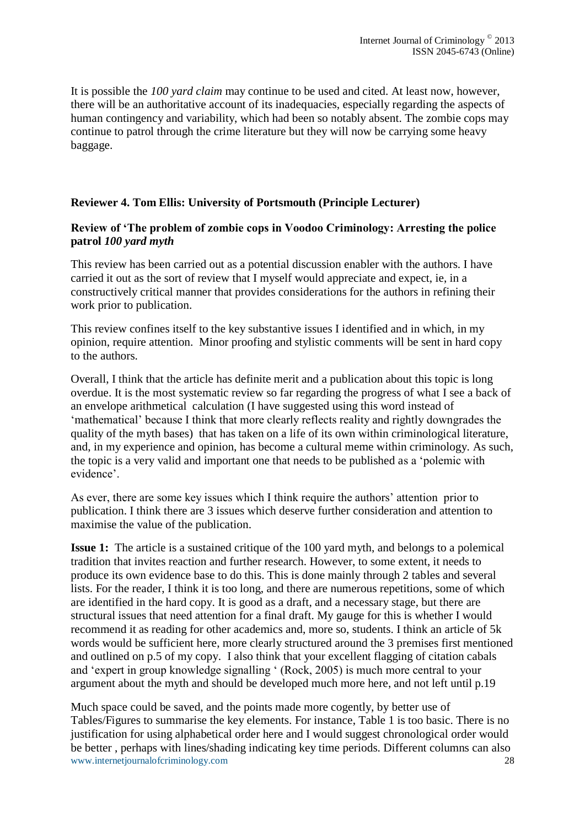It is possible the *100 yard claim* may continue to be used and cited. At least now, however, there will be an authoritative account of its inadequacies, especially regarding the aspects of human contingency and variability, which had been so notably absent. The zombie cops may continue to patrol through the crime literature but they will now be carrying some heavy baggage.

# **Reviewer 4. Tom Ellis: University of Portsmouth (Principle Lecturer)**

### **Review of 'The problem of zombie cops in Voodoo Criminology: Arresting the police patrol** *100 yard myth*

This review has been carried out as a potential discussion enabler with the authors. I have carried it out as the sort of review that I myself would appreciate and expect, ie, in a constructively critical manner that provides considerations for the authors in refining their work prior to publication.

This review confines itself to the key substantive issues I identified and in which, in my opinion, require attention. Minor proofing and stylistic comments will be sent in hard copy to the authors.

Overall, I think that the article has definite merit and a publication about this topic is long overdue. It is the most systematic review so far regarding the progress of what I see a back of an envelope arithmetical calculation (I have suggested using this word instead of 'mathematical' because I think that more clearly reflects reality and rightly downgrades the quality of the myth bases) that has taken on a life of its own within criminological literature, and, in my experience and opinion, has become a cultural meme within criminology. As such, the topic is a very valid and important one that needs to be published as a 'polemic with evidence'.

As ever, there are some key issues which I think require the authors' attention prior to publication. I think there are 3 issues which deserve further consideration and attention to maximise the value of the publication.

**Issue 1:** The article is a sustained critique of the 100 yard myth, and belongs to a polemical tradition that invites reaction and further research. However, to some extent, it needs to produce its own evidence base to do this. This is done mainly through 2 tables and several lists. For the reader, I think it is too long, and there are numerous repetitions, some of which are identified in the hard copy. It is good as a draft, and a necessary stage, but there are structural issues that need attention for a final draft. My gauge for this is whether I would recommend it as reading for other academics and, more so, students. I think an article of 5k words would be sufficient here, more clearly structured around the 3 premises first mentioned and outlined on p.5 of my copy. I also think that your excellent flagging of citation cabals and 'expert in group knowledge signalling ' (Rock, 2005) is much more central to your argument about the myth and should be developed much more here, and not left until p.19

www.internetjournalofcriminology.com 28 Much space could be saved, and the points made more cogently, by better use of Tables/Figures to summarise the key elements. For instance, Table 1 is too basic. There is no justification for using alphabetical order here and I would suggest chronological order would be better , perhaps with lines/shading indicating key time periods. Different columns can also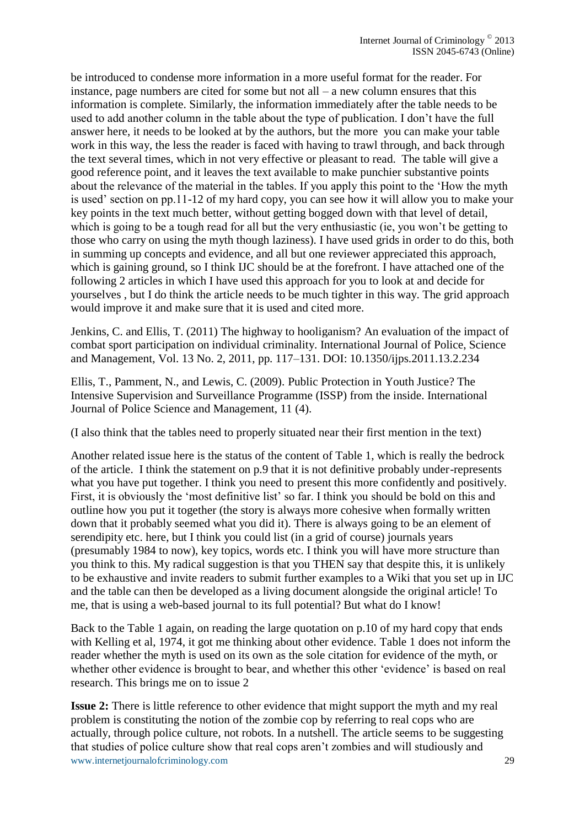be introduced to condense more information in a more useful format for the reader. For instance, page numbers are cited for some but not all – a new column ensures that this information is complete. Similarly, the information immediately after the table needs to be used to add another column in the table about the type of publication. I don't have the full answer here, it needs to be looked at by the authors, but the more you can make your table work in this way, the less the reader is faced with having to trawl through, and back through the text several times, which in not very effective or pleasant to read. The table will give a good reference point, and it leaves the text available to make punchier substantive points about the relevance of the material in the tables. If you apply this point to the 'How the myth is used' section on pp.11-12 of my hard copy, you can see how it will allow you to make your key points in the text much better, without getting bogged down with that level of detail, which is going to be a tough read for all but the very enthusiastic (ie, you won't be getting to those who carry on using the myth though laziness). I have used grids in order to do this, both in summing up concepts and evidence, and all but one reviewer appreciated this approach, which is gaining ground, so I think IJC should be at the forefront. I have attached one of the following 2 articles in which I have used this approach for you to look at and decide for yourselves , but I do think the article needs to be much tighter in this way. The grid approach would improve it and make sure that it is used and cited more.

Jenkins, C. and Ellis, T. (2011) The highway to hooliganism? An evaluation of the impact of combat sport participation on individual criminality. International Journal of Police, Science and Management, Vol. 13 No. 2, 2011, pp. 117–131. DOI: 10.1350/ijps.2011.13.2.234

Ellis, T., Pamment, N., and Lewis, C. (2009). Public Protection in Youth Justice? The Intensive Supervision and Surveillance Programme (ISSP) from the inside. International Journal of Police Science and Management, 11 (4).

(I also think that the tables need to properly situated near their first mention in the text)

Another related issue here is the status of the content of Table 1, which is really the bedrock of the article. I think the statement on p.9 that it is not definitive probably under-represents what you have put together. I think you need to present this more confidently and positively. First, it is obviously the 'most definitive list' so far. I think you should be bold on this and outline how you put it together (the story is always more cohesive when formally written down that it probably seemed what you did it). There is always going to be an element of serendipity etc. here, but I think you could list (in a grid of course) journals years (presumably 1984 to now), key topics, words etc. I think you will have more structure than you think to this. My radical suggestion is that you THEN say that despite this, it is unlikely to be exhaustive and invite readers to submit further examples to a Wiki that you set up in IJC and the table can then be developed as a living document alongside the original article! To me, that is using a web-based journal to its full potential? But what do I know!

Back to the Table 1 again, on reading the large quotation on p.10 of my hard copy that ends with Kelling et al, 1974, it got me thinking about other evidence. Table 1 does not inform the reader whether the myth is used on its own as the sole citation for evidence of the myth, or whether other evidence is brought to bear, and whether this other 'evidence' is based on real research. This brings me on to issue 2

www.internetjournalofcriminology.com 29 **Issue 2:** There is little reference to other evidence that might support the myth and my real problem is constituting the notion of the zombie cop by referring to real cops who are actually, through police culture, not robots. In a nutshell. The article seems to be suggesting that studies of police culture show that real cops aren't zombies and will studiously and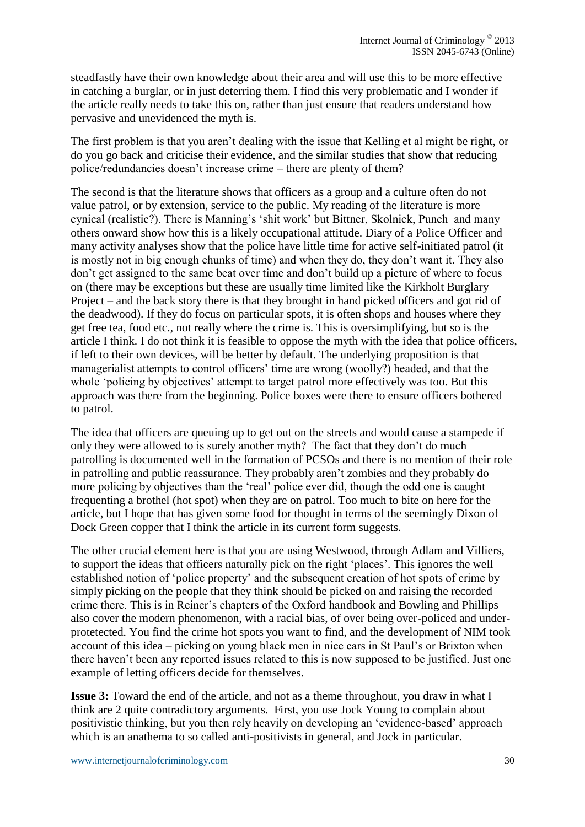steadfastly have their own knowledge about their area and will use this to be more effective in catching a burglar, or in just deterring them. I find this very problematic and I wonder if the article really needs to take this on, rather than just ensure that readers understand how pervasive and unevidenced the myth is.

The first problem is that you aren't dealing with the issue that Kelling et al might be right, or do you go back and criticise their evidence, and the similar studies that show that reducing police/redundancies doesn't increase crime – there are plenty of them?

The second is that the literature shows that officers as a group and a culture often do not value patrol, or by extension, service to the public. My reading of the literature is more cynical (realistic?). There is Manning's 'shit work' but Bittner, Skolnick, Punch and many others onward show how this is a likely occupational attitude. Diary of a Police Officer and many activity analyses show that the police have little time for active self-initiated patrol (it is mostly not in big enough chunks of time) and when they do, they don't want it. They also don't get assigned to the same beat over time and don't build up a picture of where to focus on (there may be exceptions but these are usually time limited like the Kirkholt Burglary Project – and the back story there is that they brought in hand picked officers and got rid of the deadwood). If they do focus on particular spots, it is often shops and houses where they get free tea, food etc., not really where the crime is. This is oversimplifying, but so is the article I think. I do not think it is feasible to oppose the myth with the idea that police officers, if left to their own devices, will be better by default. The underlying proposition is that managerialist attempts to control officers' time are wrong (woolly?) headed, and that the whole 'policing by objectives' attempt to target patrol more effectively was too. But this approach was there from the beginning. Police boxes were there to ensure officers bothered to patrol.

The idea that officers are queuing up to get out on the streets and would cause a stampede if only they were allowed to is surely another myth? The fact that they don't do much patrolling is documented well in the formation of PCSOs and there is no mention of their role in patrolling and public reassurance. They probably aren't zombies and they probably do more policing by objectives than the 'real' police ever did, though the odd one is caught frequenting a brothel (hot spot) when they are on patrol. Too much to bite on here for the article, but I hope that has given some food for thought in terms of the seemingly Dixon of Dock Green copper that I think the article in its current form suggests.

The other crucial element here is that you are using Westwood, through Adlam and Villiers, to support the ideas that officers naturally pick on the right 'places'. This ignores the well established notion of 'police property' and the subsequent creation of hot spots of crime by simply picking on the people that they think should be picked on and raising the recorded crime there. This is in Reiner's chapters of the Oxford handbook and Bowling and Phillips also cover the modern phenomenon, with a racial bias, of over being over-policed and underprotetected. You find the crime hot spots you want to find, and the development of NIM took account of this idea – picking on young black men in nice cars in St Paul's or Brixton when there haven't been any reported issues related to this is now supposed to be justified. Just one example of letting officers decide for themselves.

**Issue 3:** Toward the end of the article, and not as a theme throughout, you draw in what I think are 2 quite contradictory arguments. First, you use Jock Young to complain about positivistic thinking, but you then rely heavily on developing an 'evidence-based' approach which is an anathema to so called anti-positivists in general, and Jock in particular.